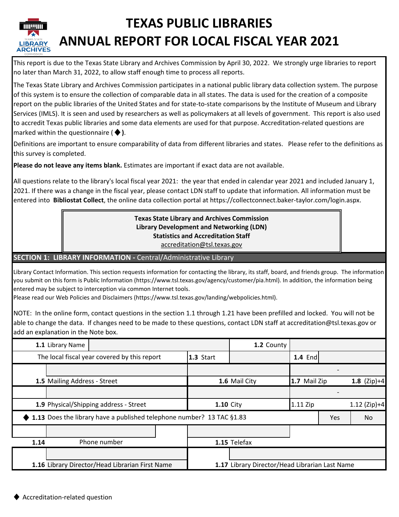

# **TEXAS PUBLIC LIBRARIES ANNUAL REPORT FOR LOCAL FISCAL YEAR 2021**

This report is due to the Texas State Library and Archives Commission by April 30, 2022. We strongly urge libraries to report no later than March 31, 2022, to allow staff enough time to process all reports.

The Texas State Library and Archives Commission participates in a national public library data collection system. The purpose of this system is to ensure the collection of comparable data in all states. The data is used for the creation of a composite report on the public libraries of the United States and for state-to-state comparisons by the Institute of Museum and Library Services (IMLS). It is seen and used by researchers as well as policymakers at all levels of government. This report is also used to accredit Texas public libraries and some data elements are used for that purpose. Accreditation-related questions are marked within the questionnaire (♦**)**.

Definitions are important to ensure comparability of data from different libraries and states. Please refer to the definitions as this survey is completed.

**Please do not leave any items blank.** Estimates are important if exact data are not available.

All questions relate to the library's local fiscal year 2021: the year that ended in calendar year 2021 and included January 1, 2021. If there was a change in the fiscal year, please contact LDN staff to update that information. All information must be entered into **Bibliostat Collect**, the online data collection portal at https://collectconnect.baker-taylor.com/login.aspx.

> **Texas State Library and Archives Commission Library Development and Networking (LDN) Statistics and Accreditation Staff** accreditation@tsl.texas.gov

**SECTION 1: LIBRARY INFORMATION -** Central/Administrative Library

Library Contact Information. This section requests information for contacting the library, its staff, board, and friends group. The information you submit on this form is Public Information (https://www.tsl.texas.gov/agency/customer/pia.html). In addition, the information being entered may be subject to interception via common Internet tools.

Please read our Web Policies and Disclaimers (https://www.tsl.texas.gov/landing/webpolicies.html).

NOTE: In the online form, contact questions in the section 1.1 through 1.21 have been prefilled and locked. You will not be able to change the data. If changes need to be made to these questions, contact LDN staff at accreditation@tsl.texas.gov or add an explanation in the Note box.

|      | 1.1 Library Name                                                      |                  | 1.2 County                                     |                |     |                |
|------|-----------------------------------------------------------------------|------------------|------------------------------------------------|----------------|-----|----------------|
|      | The local fiscal year covered by this report<br>1.3 Start             |                  |                                                | <b>1.4 End</b> |     |                |
|      |                                                                       |                  |                                                |                |     |                |
|      | 1.5 Mailing Address - Street                                          |                  | 1.6 Mail City                                  | 1.7 Mail Zip   |     | 1.8 $(Zip)+4$  |
|      |                                                                       |                  |                                                |                |     |                |
|      | 1.9 Physical/Shipping address - Street                                | <b>1.10 City</b> |                                                | $1.11$ Zip     |     | $1.12$ (Zip)+4 |
|      | 1.13 Does the library have a published telephone number? 13 TAC §1.83 |                  |                                                |                | Yes | N <sub>o</sub> |
|      |                                                                       |                  |                                                |                |     |                |
| 1.14 | Phone number                                                          |                  | 1.15 Telefax                                   |                |     |                |
|      |                                                                       |                  |                                                |                |     |                |
|      | 1.16 Library Director/Head Librarian First Name                       |                  | 1.17 Library Director/Head Librarian Last Name |                |     |                |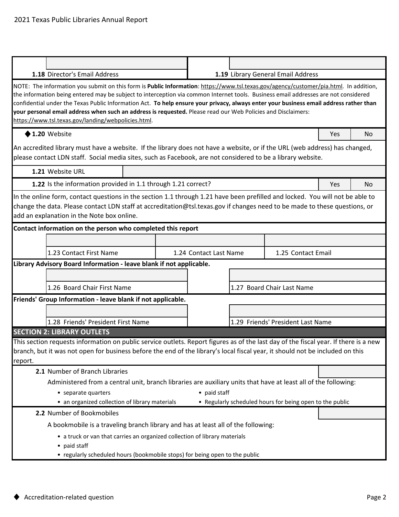|         | 1.18 Director's Email Address                                                                                                                                                                                                                                                                                                                                                                                                                                                                                                                                                                 |                        | 1.19 Library General Email Address                       |     |                |
|---------|-----------------------------------------------------------------------------------------------------------------------------------------------------------------------------------------------------------------------------------------------------------------------------------------------------------------------------------------------------------------------------------------------------------------------------------------------------------------------------------------------------------------------------------------------------------------------------------------------|------------------------|----------------------------------------------------------|-----|----------------|
|         | NOTE: The information you submit on this form is Public Information: https://www.tsl.texas.gov/agency/customer/pia.html. In addition,<br>the information being entered may be subject to interception via common Internet tools. Business email addresses are not considered<br>confidential under the Texas Public Information Act. To help ensure your privacy, always enter your business email address rather than<br>your personal email address when such an address is requested. Please read our Web Policies and Disclaimers:<br>https://www.tsl.texas.gov/landing/webpolicies.html. |                        |                                                          |     |                |
|         | $\blacklozenge$ 1.20 Website                                                                                                                                                                                                                                                                                                                                                                                                                                                                                                                                                                  |                        |                                                          | Yes | N <sub>o</sub> |
|         | An accredited library must have a website. If the library does not have a website, or if the URL (web address) has changed,<br>please contact LDN staff. Social media sites, such as Facebook, are not considered to be a library website.                                                                                                                                                                                                                                                                                                                                                    |                        |                                                          |     |                |
|         | 1.21 Website URL                                                                                                                                                                                                                                                                                                                                                                                                                                                                                                                                                                              |                        |                                                          |     |                |
|         | 1.22 Is the information provided in 1.1 through 1.21 correct?                                                                                                                                                                                                                                                                                                                                                                                                                                                                                                                                 |                        |                                                          | Yes | N <sub>o</sub> |
|         | In the online form, contact questions in the section 1.1 through 1.21 have been prefilled and locked. You will not be able to<br>change the data. Please contact LDN staff at accreditation@tsl.texas.gov if changes need to be made to these questions, or<br>add an explanation in the Note box online.                                                                                                                                                                                                                                                                                     |                        |                                                          |     |                |
|         | Contact information on the person who completed this report                                                                                                                                                                                                                                                                                                                                                                                                                                                                                                                                   |                        |                                                          |     |                |
|         |                                                                                                                                                                                                                                                                                                                                                                                                                                                                                                                                                                                               |                        |                                                          |     |                |
|         | 1.23 Contact First Name                                                                                                                                                                                                                                                                                                                                                                                                                                                                                                                                                                       | 1.24 Contact Last Name | 1.25 Contact Email                                       |     |                |
|         | Library Advisory Board Information - leave blank if not applicable.                                                                                                                                                                                                                                                                                                                                                                                                                                                                                                                           |                        |                                                          |     |                |
|         |                                                                                                                                                                                                                                                                                                                                                                                                                                                                                                                                                                                               |                        |                                                          |     |                |
|         | 1.26 Board Chair First Name                                                                                                                                                                                                                                                                                                                                                                                                                                                                                                                                                                   |                        | 1.27 Board Chair Last Name                               |     |                |
|         | Friends' Group Information - leave blank if not applicable.                                                                                                                                                                                                                                                                                                                                                                                                                                                                                                                                   |                        |                                                          |     |                |
|         |                                                                                                                                                                                                                                                                                                                                                                                                                                                                                                                                                                                               |                        |                                                          |     |                |
|         | 1.28 Friends' President First Name                                                                                                                                                                                                                                                                                                                                                                                                                                                                                                                                                            |                        | 1.29 Friends' President Last Name                        |     |                |
|         | <b>SECTION 2: LIBRARY OUTLETS</b>                                                                                                                                                                                                                                                                                                                                                                                                                                                                                                                                                             |                        |                                                          |     |                |
|         | This section requests information on public service outlets. Report figures as of the last day of the fiscal year. If there is a new                                                                                                                                                                                                                                                                                                                                                                                                                                                          |                        |                                                          |     |                |
|         | branch, but it was not open for business before the end of the library's local fiscal year, it should not be included on this                                                                                                                                                                                                                                                                                                                                                                                                                                                                 |                        |                                                          |     |                |
| report. | 2.1 Number of Branch Libraries                                                                                                                                                                                                                                                                                                                                                                                                                                                                                                                                                                |                        |                                                          |     |                |
|         | Administered from a central unit, branch libraries are auxiliary units that have at least all of the following:                                                                                                                                                                                                                                                                                                                                                                                                                                                                               |                        |                                                          |     |                |
|         | • separate quarters                                                                                                                                                                                                                                                                                                                                                                                                                                                                                                                                                                           | • paid staff           |                                                          |     |                |
|         | • an organized collection of library materials                                                                                                                                                                                                                                                                                                                                                                                                                                                                                                                                                |                        | • Regularly scheduled hours for being open to the public |     |                |
|         | 2.2 Number of Bookmobiles                                                                                                                                                                                                                                                                                                                                                                                                                                                                                                                                                                     |                        |                                                          |     |                |
|         | A bookmobile is a traveling branch library and has at least all of the following:                                                                                                                                                                                                                                                                                                                                                                                                                                                                                                             |                        |                                                          |     |                |
|         | • a truck or van that carries an organized collection of library materials                                                                                                                                                                                                                                                                                                                                                                                                                                                                                                                    |                        |                                                          |     |                |
|         | • paid staff                                                                                                                                                                                                                                                                                                                                                                                                                                                                                                                                                                                  |                        |                                                          |     |                |
|         | • regularly scheduled hours (bookmobile stops) for being open to the public                                                                                                                                                                                                                                                                                                                                                                                                                                                                                                                   |                        |                                                          |     |                |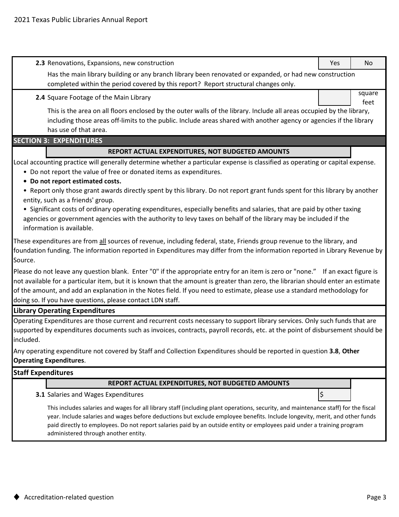| 2.3 Renovations, Expansions, new construction                                                                                                                                                                                                                                                                                                                                                                                                                                                                                                                                                                                                                                              | Yes | No             |  |  |  |  |
|--------------------------------------------------------------------------------------------------------------------------------------------------------------------------------------------------------------------------------------------------------------------------------------------------------------------------------------------------------------------------------------------------------------------------------------------------------------------------------------------------------------------------------------------------------------------------------------------------------------------------------------------------------------------------------------------|-----|----------------|--|--|--|--|
| Has the main library building or any branch library been renovated or expanded, or had new construction                                                                                                                                                                                                                                                                                                                                                                                                                                                                                                                                                                                    |     |                |  |  |  |  |
| completed within the period covered by this report? Report structural changes only.                                                                                                                                                                                                                                                                                                                                                                                                                                                                                                                                                                                                        |     |                |  |  |  |  |
| 2.4 Square Footage of the Main Library                                                                                                                                                                                                                                                                                                                                                                                                                                                                                                                                                                                                                                                     |     | square<br>feet |  |  |  |  |
| This is the area on all floors enclosed by the outer walls of the library. Include all areas occupied by the library,<br>including those areas off-limits to the public. Include areas shared with another agency or agencies if the library<br>has use of that area.                                                                                                                                                                                                                                                                                                                                                                                                                      |     |                |  |  |  |  |
| <b>SECTION 3: EXPENDITURES</b>                                                                                                                                                                                                                                                                                                                                                                                                                                                                                                                                                                                                                                                             |     |                |  |  |  |  |
| REPORT ACTUAL EXPENDITURES, NOT BUDGETED AMOUNTS                                                                                                                                                                                                                                                                                                                                                                                                                                                                                                                                                                                                                                           |     |                |  |  |  |  |
| Local accounting practice will generally determine whether a particular expense is classified as operating or capital expense.<br>• Do not report the value of free or donated items as expenditures.<br>• Do not report estimated costs.<br>• Report only those grant awards directly spent by this library. Do not report grant funds spent for this library by another<br>entity, such as a friends' group.<br>• Significant costs of ordinary operating expenditures, especially benefits and salaries, that are paid by other taxing<br>agencies or government agencies with the authority to levy taxes on behalf of the library may be included if the<br>information is available. |     |                |  |  |  |  |
| These expenditures are from all sources of revenue, including federal, state, Friends group revenue to the library, and<br>foundation funding. The information reported in Expenditures may differ from the information reported in Library Revenue by<br>Source.                                                                                                                                                                                                                                                                                                                                                                                                                          |     |                |  |  |  |  |
| Please do not leave any question blank. Enter "0" if the appropriate entry for an item is zero or "none." If an exact figure is<br>not available for a particular item, but it is known that the amount is greater than zero, the librarian should enter an estimate<br>of the amount, and add an explanation in the Notes field. If you need to estimate, please use a standard methodology for<br>doing so. If you have questions, please contact LDN staff.                                                                                                                                                                                                                             |     |                |  |  |  |  |
| <b>Library Operating Expenditures</b>                                                                                                                                                                                                                                                                                                                                                                                                                                                                                                                                                                                                                                                      |     |                |  |  |  |  |
| Operating Expenditures are those current and recurrent costs necessary to support library services. Only such funds that are<br>supported by expenditures documents such as invoices, contracts, payroll records, etc. at the point of disbursement should be<br>included.                                                                                                                                                                                                                                                                                                                                                                                                                 |     |                |  |  |  |  |
| Any operating expenditure not covered by Staff and Collection Expenditures should be reported in question 3.8, Other<br><b>Operating Expenditures.</b>                                                                                                                                                                                                                                                                                                                                                                                                                                                                                                                                     |     |                |  |  |  |  |
| <b>Staff Expenditures</b>                                                                                                                                                                                                                                                                                                                                                                                                                                                                                                                                                                                                                                                                  |     |                |  |  |  |  |

#### **REPORT ACTUAL EXPENDITURES, NOT BUDGETED AMOUNTS**

**3.1** Salaries and Wages Expenditures  $\left| \xi \right|$ 

This includes salaries and wages for all library staff (including plant operations, security, and maintenance staff) for the fiscal year. Include salaries and wages before deductions but exclude employee benefits. Include longevity, merit, and other funds paid directly to employees. Do not report salaries paid by an outside entity or employees paid under a training program administered through another entity.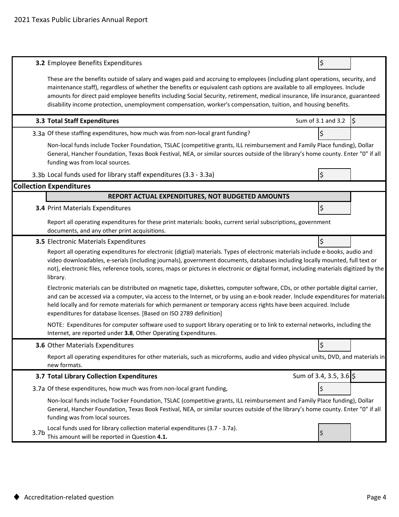|                  | <b>3.2</b> Employee Benefits Expenditures                                                                                                                                                                                                                                                                                                                                                                                                                                                                     | \$                      |    |
|------------------|---------------------------------------------------------------------------------------------------------------------------------------------------------------------------------------------------------------------------------------------------------------------------------------------------------------------------------------------------------------------------------------------------------------------------------------------------------------------------------------------------------------|-------------------------|----|
|                  | These are the benefits outside of salary and wages paid and accruing to employees (including plant operations, security, and<br>maintenance staff), regardless of whether the benefits or equivalent cash options are available to all employees. Include<br>amounts for direct paid employee benefits including Social Security, retirement, medical insurance, life insurance, guaranteed<br>disability income protection, unemployment compensation, worker's compensation, tuition, and housing benefits. |                         |    |
|                  | 3.3 Total Staff Expenditures                                                                                                                                                                                                                                                                                                                                                                                                                                                                                  | Sum of 3.1 and 3.2      | \$ |
|                  | 3.3a Of these staffing expenditures, how much was from non-local grant funding?                                                                                                                                                                                                                                                                                                                                                                                                                               | \$                      |    |
|                  | Non-local funds include Tocker Foundation, TSLAC (competitive grants, ILL reimbursement and Family Place funding), Dollar<br>General, Hancher Foundation, Texas Book Festival, NEA, or similar sources outside of the library's home county. Enter "0" if all<br>funding was from local sources.                                                                                                                                                                                                              |                         |    |
|                  | 3.3b Local funds used for library staff expenditures (3.3 - 3.3a)                                                                                                                                                                                                                                                                                                                                                                                                                                             | \$                      |    |
|                  | <b>Collection Expenditures</b>                                                                                                                                                                                                                                                                                                                                                                                                                                                                                |                         |    |
|                  | REPORT ACTUAL EXPENDITURES, NOT BUDGETED AMOUNTS                                                                                                                                                                                                                                                                                                                                                                                                                                                              |                         |    |
|                  | 3.4 Print Materials Expenditures                                                                                                                                                                                                                                                                                                                                                                                                                                                                              | \$                      |    |
|                  | Report all operating expenditures for these print materials: books, current serial subscriptions, government<br>documents, and any other print acquisitions.                                                                                                                                                                                                                                                                                                                                                  |                         |    |
|                  | 3.5 Electronic Materials Expenditures                                                                                                                                                                                                                                                                                                                                                                                                                                                                         | \$                      |    |
|                  | Report all operating expenditures for electronic (digtial) materials. Types of electronic materials include e-books, audio and<br>video downloadables, e-serials (including journals), government documents, databases including locally mounted, full text or<br>not), electronic files, reference tools, scores, maps or pictures in electronic or digital format, including materials digitized by the<br>library.                                                                                         |                         |    |
|                  | Electronic materials can be distributed on magnetic tape, diskettes, computer software, CDs, or other portable digital carrier,<br>and can be accessed via a computer, via access to the Internet, or by using an e-book reader. Include expenditures for materials<br>held locally and for remote materials for which permanent or temporary access rights have been acquired. Include<br>expenditures for database licenses. [Based on ISO 2789 definition]                                                 |                         |    |
|                  | NOTE: Expenditures for computer software used to support library operating or to link to external networks, including the<br>Internet, are reported under 3.8, Other Operating Expenditures.                                                                                                                                                                                                                                                                                                                  |                         |    |
|                  | 3.6 Other Materials Expenditures                                                                                                                                                                                                                                                                                                                                                                                                                                                                              | l\$                     |    |
|                  | Report all operating expenditures for other materials, such as microforms, audio and video physical units, DVD, and materials in<br>new formats.                                                                                                                                                                                                                                                                                                                                                              |                         |    |
|                  | 3.7 Total Library Collection Expenditures                                                                                                                                                                                                                                                                                                                                                                                                                                                                     | Sum of 3.4, 3.5, 3.6 \$ |    |
|                  | 3.7a Of these expenditures, how much was from non-local grant funding,                                                                                                                                                                                                                                                                                                                                                                                                                                        | \$                      |    |
|                  | Non-local funds include Tocker Foundation, TSLAC (competitive grants, ILL reimbursement and Family Place funding), Dollar<br>General, Hancher Foundation, Texas Book Festival, NEA, or similar sources outside of the library's home county. Enter "0" if all<br>funding was from local sources.                                                                                                                                                                                                              |                         |    |
| 3.7 <sub>b</sub> | Local funds used for library collection material expenditures (3.7 - 3.7a).<br>This amount will be reported in Question 4.1.                                                                                                                                                                                                                                                                                                                                                                                  |                         |    |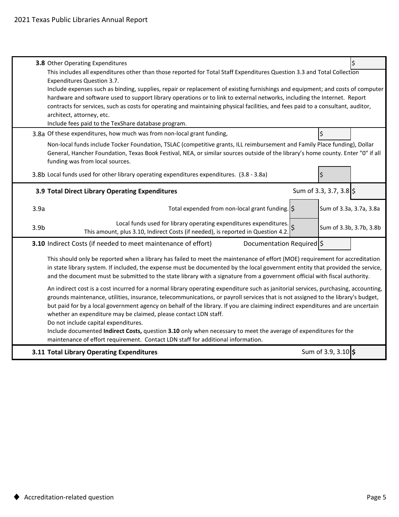|                  | 3.8 Other Operating Expenditures                                                                                                                                                                                                                                                                                                                                                             |  |                         |  |  |  |  |
|------------------|----------------------------------------------------------------------------------------------------------------------------------------------------------------------------------------------------------------------------------------------------------------------------------------------------------------------------------------------------------------------------------------------|--|-------------------------|--|--|--|--|
|                  | This includes all expenditures other than those reported for Total Staff Expenditures Question 3.3 and Total Collection<br>Expenditures Question 3.7.                                                                                                                                                                                                                                        |  |                         |  |  |  |  |
|                  | Include expenses such as binding, supplies, repair or replacement of existing furnishings and equipment; and costs of computer                                                                                                                                                                                                                                                               |  |                         |  |  |  |  |
|                  | hardware and software used to support library operations or to link to external networks, including the Internet. Report                                                                                                                                                                                                                                                                     |  |                         |  |  |  |  |
|                  | contracts for services, such as costs for operating and maintaining physical facilities, and fees paid to a consultant, auditor,<br>architect, attorney, etc.                                                                                                                                                                                                                                |  |                         |  |  |  |  |
|                  | Include fees paid to the TexShare database program.                                                                                                                                                                                                                                                                                                                                          |  |                         |  |  |  |  |
|                  | 3.8a Of these expenditures, how much was from non-local grant funding,                                                                                                                                                                                                                                                                                                                       |  | \$                      |  |  |  |  |
|                  | Non-local funds include Tocker Foundation, TSLAC (competitive grants, ILL reimbursement and Family Place funding), Dollar<br>General, Hancher Foundation, Texas Book Festival, NEA, or similar sources outside of the library's home county. Enter "0" if all<br>funding was from local sources.                                                                                             |  |                         |  |  |  |  |
|                  | 3.8b Local funds used for other library operating expenditures expenditures. (3.8 - 3.8a)                                                                                                                                                                                                                                                                                                    |  | Ś                       |  |  |  |  |
|                  | 3.9 Total Direct Library Operating Expenditures                                                                                                                                                                                                                                                                                                                                              |  | Sum of 3.3, 3.7, 3.8 \$ |  |  |  |  |
| 3.9a             | Total expended from non-local grant funding.  \$                                                                                                                                                                                                                                                                                                                                             |  | Sum of 3.3a, 3.7a, 3.8a |  |  |  |  |
| 3.9 <sub>b</sub> | Local funds used for library operating expenditures expenditures.<br>This amount, plus 3.10, Indirect Costs (if needed), is reported in Question 4.2.                                                                                                                                                                                                                                        |  | Sum of 3.3b, 3.7b, 3.8b |  |  |  |  |
|                  | Documentation Required \$<br>3.10 Indirect Costs (if needed to meet maintenance of effort)                                                                                                                                                                                                                                                                                                   |  |                         |  |  |  |  |
|                  | This should only be reported when a library has failed to meet the maintenance of effort (MOE) requirement for accreditation<br>in state library system. If included, the expense must be documented by the local government entity that provided the service,<br>and the document must be submitted to the state library with a signature from a government official with fiscal authority. |  |                         |  |  |  |  |
|                  |                                                                                                                                                                                                                                                                                                                                                                                              |  |                         |  |  |  |  |
|                  | An indirect cost is a cost incurred for a normal library operating expenditure such as janitorial services, purchasing, accounting,<br>grounds maintenance, utilities, insurance, telecommunications, or payroll services that is not assigned to the library's budget,                                                                                                                      |  |                         |  |  |  |  |
|                  | but paid for by a local government agency on behalf of the library. If you are claiming indirect expenditures and are uncertain                                                                                                                                                                                                                                                              |  |                         |  |  |  |  |
|                  | whether an expenditure may be claimed, please contact LDN staff.                                                                                                                                                                                                                                                                                                                             |  |                         |  |  |  |  |
|                  | Do not include capital expenditures.<br>Include documented Indirect Costs, question 3.10 only when necessary to meet the average of expenditures for the                                                                                                                                                                                                                                     |  |                         |  |  |  |  |
|                  | maintenance of effort requirement. Contact LDN staff for additional information.                                                                                                                                                                                                                                                                                                             |  |                         |  |  |  |  |
|                  | 3.11 Total Library Operating Expenditures                                                                                                                                                                                                                                                                                                                                                    |  | Sum of 3.9, 3.10 \$     |  |  |  |  |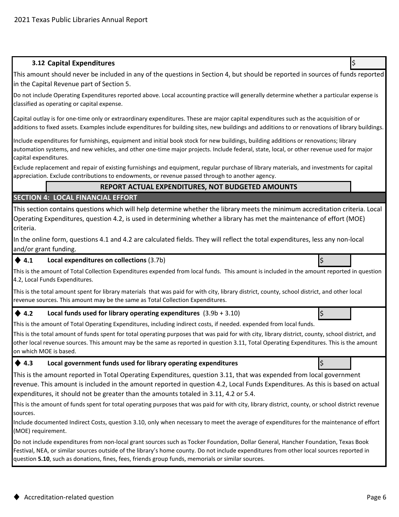## **3.12 Capital Expenditures** \$

This amount should never be included in any of the questions in Section 4, but should be reported in sources of funds reported in the Capital Revenue part of Section 5.

Do not include Operating Expenditures reported above. Local accounting practice will generally determine whether a particular expense is classified as operating or capital expense.

Capital outlay is for one-time only or extraordinary expenditures. These are major capital expenditures such as the acquisition of or additions to fixed assets. Examples include expenditures for building sites, new buildings and additions to or renovations of library buildings.

Include expenditures for furnishings, equipment and initial book stock for new buildings, building additions or renovations; library automation systems, and new vehicles, and other one-time major projects. Include federal, state, local, or other revenue used for major capital expenditures.

Exclude replacement and repair of existing furnishings and equipment, regular purchase of library materials, and investments for capital appreciation. Exclude contributions to endowments, or revenue passed through to another agency.

#### **REPORT ACTUAL EXPENDITURES, NOT BUDGETED AMOUNTS**

#### **SECTION 4: LOCAL FINANCIAL EFFORT**

This section contains questions which will help determine whether the library meets the minimum accreditation criteria. Local Operating Expenditures, question 4.2, is used in determining whether a library has met the maintenance of effort (MOE) criteria.

In the online form, questions 4.1 and 4.2 are calculated fields. They will reflect the total expenditures, less any non-local and/or grant funding.

#### ◆ 4.1 Local expenditures on collections (3.7b) **because the contract of the collections** is

This is the amount of Total Collection Expenditures expended from local funds. This amount is included in the amount reported in question 4.2, Local Funds Expenditures.

This is the total amount spent for library materials that was paid for with city, library district, county, school district, and other local revenue sources. This amount may be the same as Total Collection Expenditures.

## ◆ 4.2 Local funds used for library operating expenditures (3.9b + 3.10)

This is the amount of Total Operating Expenditures, including indirect costs, if needed. expended from local funds.

This is the total amount of funds spent for total operating purposes that was paid for with city, library district, county, school district, and other local revenue sources. This amount may be the same as reported in question 3.11, Total Operating Expenditures. This is the amount on which MOE is based.

#### ◆ 4.3 **blocal government funds used for library operating expenditures blocal set of the set of the set of the set of the set of the set of the set of the set of the set of the set of the set of the set of the set of th**

This is the amount reported in Total Operating Expenditures, question 3.11, that was expended from local government revenue. This amount is included in the amount reported in question 4.2, Local Funds Expenditures. As this is based on actual expenditures, it should not be greater than the amounts totaled in 3.11, 4.2 or 5.4.

This is the amount of funds spent for total operating purposes that was paid for with city, library district, county, or school district revenue sources.

Include documented Indirect Costs, question 3.10, only when necessary to meet the average of expenditures for the maintenance of effort (MOE) requirement.

Do not include expenditures from non-local grant sources such as Tocker Foundation, Dollar General, Hancher Foundation, Texas Book Festival, NEA, or similar sources outside of the library's home county. Do not include expenditures from other local sources reported in question **5.10**, such as donations, fines, fees, friends group funds, memorials or similar sources.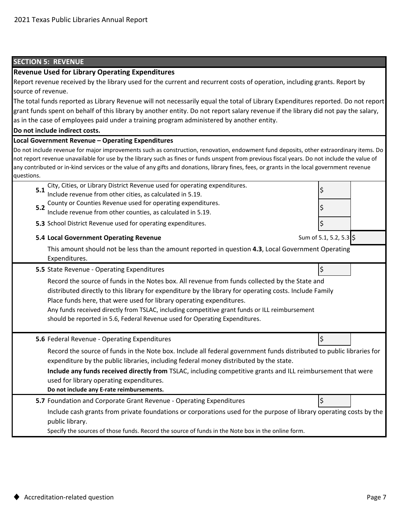## **SECTION 5: REVENUE**

#### **Revenue Used for Library Operating Expenditures**

**Do not include indirect costs. Local Government Revenue – Operating Expenditures 5.1** Include revenue from other cities, as calculated in 5.19. **5.2** South of Southles Revenue asset for Speriality Superintial est. **5.3** \$ School District Revenue used for operating expenditures. **5.4 Local Government Operating Revenue 5.5** State Revenue - Operating Expenditures  $\ket{\xi}$ **5.6** Federal Revenue - Operating Expenditures  $\vert$  states  $\vert$  states  $\vert$  states  $\vert$  states  $\vert$  states  $\vert$  states  $\vert$  states  $\vert$  states  $\vert$  states  $\vert$  states  $\vert$  states  $\vert$  states  $\vert$  states  $\vert$  states  $\vert$  st **Do not include any E-rate reimbursements. 5.7** Foundation and Corporate Grant Revenue - Operating Expenditures  $\ket{\xi}$ Record the source of funds in the Note box. Include all federal government funds distributed to public libraries for expenditure by the public libraries, including federal money distributed by the state. Record the source of funds in the Notes box. All revenue from funds collected by the State and distributed directly to this library for expenditure by the library for operating costs. Include Family Place funds here, that were used for library operating expenditures. Any funds received directly from TSLAC, including competitive grant funds or ILL reimbursement should be reported in 5.6, Federal Revenue used for Operating Expenditures. Report revenue received by the library used for the current and recurrent costs of operation, including grants. Report by source of revenue. County or Counties Revenue used for operating expenditures. Specify the sources of those funds. Record the source of funds in the Note box in the online form. **Include any funds received directly from** TSLAC, including competitive grants and ILL reimbursement that were used for library operating expenditures. This amount should not be less than the amount reported in question **4.3**, Local Government Operating Expenditures. Include cash grants from private foundations or corporations used for the purpose of library operating costs by the public library. Do not include revenue for major improvements such as construction, renovation, endowment fund deposits, other extraordinary items. Do not report revenue unavailable for use by the library such as fines or funds unspent from previous fiscal years. Do not include the value of any contributed or in-kind services or the value of any gifts and donations, library fines, fees, or grants in the local government revenue questions. City, Cities, or Library District Revenue used for operating expenditures. Sum of 5.1, 5.2, 5.3 The total funds reported as Library Revenue will not necessarily equal the total of Library Expenditures reported. Do not report grant funds spent on behalf of this library by another entity. Do not report salary revenue if the library did not pay the salary, as in the case of employees paid under a training program administered by another entity.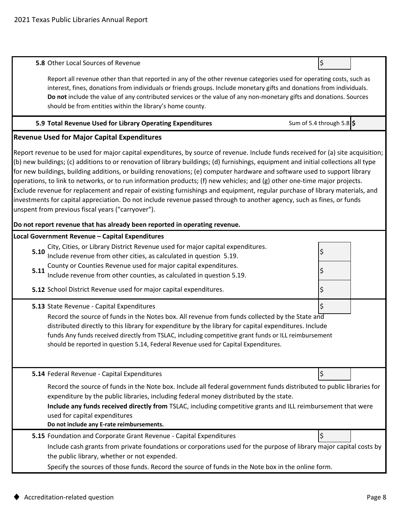| 5.8 Other Local Sources of Revenue                                                                                                                                                                                                                                                                                                                                                                                                                                                                                                                                                                                                                                                                                                                                                                                                                | \$                        |  |
|---------------------------------------------------------------------------------------------------------------------------------------------------------------------------------------------------------------------------------------------------------------------------------------------------------------------------------------------------------------------------------------------------------------------------------------------------------------------------------------------------------------------------------------------------------------------------------------------------------------------------------------------------------------------------------------------------------------------------------------------------------------------------------------------------------------------------------------------------|---------------------------|--|
| Report all revenue other than that reported in any of the other revenue categories used for operating costs, such as<br>interest, fines, donations from individuals or friends groups. Include monetary gifts and donations from individuals.<br>Do not include the value of any contributed services or the value of any non-monetary gifts and donations. Sources<br>should be from entities within the library's home county.                                                                                                                                                                                                                                                                                                                                                                                                                  |                           |  |
| 5.9 Total Revenue Used for Library Operating Expenditures                                                                                                                                                                                                                                                                                                                                                                                                                                                                                                                                                                                                                                                                                                                                                                                         | Sum of 5.4 through 5.8 \$ |  |
| <b>Revenue Used for Major Capital Expenditures</b>                                                                                                                                                                                                                                                                                                                                                                                                                                                                                                                                                                                                                                                                                                                                                                                                |                           |  |
| Report revenue to be used for major capital expenditures, by source of revenue. Include funds received for (a) site acquisition;<br>(b) new buildings; (c) additions to or renovation of library buildings; (d) furnishings, equipment and initial collections all type<br>for new buildings, building additions, or building renovations; (e) computer hardware and software used to support library<br>operations, to link to networks, or to run information products; (f) new vehicles; and (g) other one-time major projects.<br>Exclude revenue for replacement and repair of existing furnishings and equipment, regular purchase of library materials, and<br>investments for capital appreciation. Do not include revenue passed through to another agency, such as fines, or funds<br>unspent from previous fiscal years ("carryover"). |                           |  |
| Do not report revenue that has already been reported in operating revenue.                                                                                                                                                                                                                                                                                                                                                                                                                                                                                                                                                                                                                                                                                                                                                                        |                           |  |
| Local Government Revenue - Capital Expenditures<br>City, Cities, or Library District Revenue used for major capital expenditures.<br>5.10                                                                                                                                                                                                                                                                                                                                                                                                                                                                                                                                                                                                                                                                                                         |                           |  |
| Include revenue from other cities, as calculated in question 5.19.<br>County or Counties Revenue used for major capital expenditures.                                                                                                                                                                                                                                                                                                                                                                                                                                                                                                                                                                                                                                                                                                             |                           |  |
| 5.11<br>Include revenue from other counties, as calculated in question 5.19.                                                                                                                                                                                                                                                                                                                                                                                                                                                                                                                                                                                                                                                                                                                                                                      |                           |  |
| 5.12 School District Revenue used for major capital expenditures.                                                                                                                                                                                                                                                                                                                                                                                                                                                                                                                                                                                                                                                                                                                                                                                 | Ş                         |  |
| 5.13 State Revenue - Capital Expenditures                                                                                                                                                                                                                                                                                                                                                                                                                                                                                                                                                                                                                                                                                                                                                                                                         |                           |  |
| Record the source of funds in the Notes box. All revenue from funds collected by the State and<br>distributed directly to this library for expenditure by the library for capital expenditures. Include<br>funds Any funds received directly from TSLAC, including competitive grant funds or ILL reimbursement<br>should be reported in question 5.14, Federal Revenue used for Capital Expenditures.                                                                                                                                                                                                                                                                                                                                                                                                                                            |                           |  |
| 5.14 Federal Revenue - Capital Expenditures                                                                                                                                                                                                                                                                                                                                                                                                                                                                                                                                                                                                                                                                                                                                                                                                       | \$                        |  |
| Record the source of funds in the Note box. Include all federal government funds distributed to public libraries for<br>expenditure by the public libraries, including federal money distributed by the state.<br>Include any funds received directly from TSLAC, including competitive grants and ILL reimbursement that were<br>used for capital expenditures<br>Do not include any E-rate reimbursements.                                                                                                                                                                                                                                                                                                                                                                                                                                      |                           |  |
| 5.15 Foundation and Corporate Grant Revenue - Capital Expenditures                                                                                                                                                                                                                                                                                                                                                                                                                                                                                                                                                                                                                                                                                                                                                                                |                           |  |
| Include cash grants from private foundations or corporations used for the purpose of library major capital costs by<br>the public library, whether or not expended.                                                                                                                                                                                                                                                                                                                                                                                                                                                                                                                                                                                                                                                                               |                           |  |

Specify the sources of those funds. Record the source of funds in the Note box in the online form.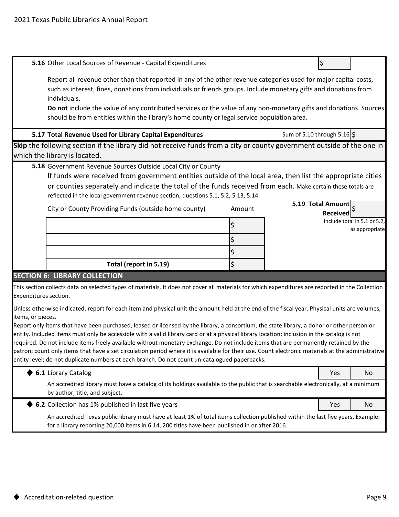|                       | 5.16 Other Local Sources of Revenue - Capital Expenditures                                                                                                                                                                                         |        |                             | \$                |                                                |  |  |
|-----------------------|----------------------------------------------------------------------------------------------------------------------------------------------------------------------------------------------------------------------------------------------------|--------|-----------------------------|-------------------|------------------------------------------------|--|--|
|                       |                                                                                                                                                                                                                                                    |        |                             |                   |                                                |  |  |
|                       | Report all revenue other than that reported in any of the other revenue categories used for major capital costs,                                                                                                                                   |        |                             |                   |                                                |  |  |
|                       | such as interest, fines, donations from individuals or friends groups. Include monetary gifts and donations from<br>individuals.                                                                                                                   |        |                             |                   |                                                |  |  |
|                       | Do not include the value of any contributed services or the value of any non-monetary gifts and donations. Sources                                                                                                                                 |        |                             |                   |                                                |  |  |
|                       | should be from entities within the library's home county or legal service population area.                                                                                                                                                         |        |                             |                   |                                                |  |  |
|                       |                                                                                                                                                                                                                                                    |        |                             |                   |                                                |  |  |
|                       | 5.17 Total Revenue Used for Library Capital Expenditures                                                                                                                                                                                           |        | Sum of 5.10 through 5.16 \$ |                   |                                                |  |  |
|                       | Skip the following section if the library did not receive funds from a city or county government outside of the one in                                                                                                                             |        |                             |                   |                                                |  |  |
|                       | which the library is located.                                                                                                                                                                                                                      |        |                             |                   |                                                |  |  |
|                       | 5.18 Government Revenue Sources Outside Local City or County<br>If funds were received from government entities outside of the local area, then list the appropriate cities                                                                        |        |                             |                   |                                                |  |  |
|                       | or counties separately and indicate the total of the funds received from each. Make certain these totals are                                                                                                                                       |        |                             |                   |                                                |  |  |
|                       | reflected in the local government revenue section, questions 5.1, 5.2, 5.13, 5.14.                                                                                                                                                                 |        |                             |                   |                                                |  |  |
|                       | City or County Providing Funds (outside home county)                                                                                                                                                                                               |        |                             | 5.19 Total Amount |                                                |  |  |
|                       |                                                                                                                                                                                                                                                    | Amount |                             | <b>Received</b>   |                                                |  |  |
|                       |                                                                                                                                                                                                                                                    |        |                             |                   | Include total in 5.1 or 5.2,<br>as appropriate |  |  |
|                       |                                                                                                                                                                                                                                                    |        |                             |                   |                                                |  |  |
|                       |                                                                                                                                                                                                                                                    |        |                             |                   |                                                |  |  |
|                       |                                                                                                                                                                                                                                                    |        |                             |                   |                                                |  |  |
|                       | Total (report in 5.19)                                                                                                                                                                                                                             | \$     |                             |                   |                                                |  |  |
|                       | <b>SECTION 6: LIBRARY COLLECTION</b>                                                                                                                                                                                                               |        |                             |                   |                                                |  |  |
| Expenditures section. | This section collects data on selected types of materials. It does not cover all materials for which expenditures are reported in the Collection                                                                                                   |        |                             |                   |                                                |  |  |
|                       |                                                                                                                                                                                                                                                    |        |                             |                   |                                                |  |  |
| items, or pieces.     | Unless otherwise indicated, report for each item and physical unit the amount held at the end of the fiscal year. Physical units are volumes,                                                                                                      |        |                             |                   |                                                |  |  |
|                       | Report only items that have been purchased, leased or licensed by the library, a consortium, the state library, a donor or other person or                                                                                                         |        |                             |                   |                                                |  |  |
|                       | entity. Included items must only be accessible with a valid library card or at a physical library location; inclusion in the catalog is not                                                                                                        |        |                             |                   |                                                |  |  |
|                       | required. Do not include items freely available without monetary exchange. Do not include items that are permanently retained by the                                                                                                               |        |                             |                   |                                                |  |  |
|                       | patron; count only items that have a set circulation period where it is available for their use. Count electronic materials at the administrative<br>entity level; do not duplicate numbers at each branch. Do not count un-catalogued paperbacks. |        |                             |                   |                                                |  |  |
|                       |                                                                                                                                                                                                                                                    |        |                             |                   |                                                |  |  |
|                       | 6.1 Library Catalog                                                                                                                                                                                                                                |        |                             | Yes               | No                                             |  |  |
|                       | An accredited library must have a catalog of its holdings available to the public that is searchable electronically, at a minimum<br>by author, title, and subject.                                                                                |        |                             |                   |                                                |  |  |
|                       | 6.2 Collection has 1% published in last five years                                                                                                                                                                                                 |        |                             | Yes               | No                                             |  |  |
|                       | An accredited Texas public library must have at least 1% of total items collection published within the last five years. Example:<br>for a library reporting 20,000 items in 6.14, 200 titles have been published in or after 2016.                |        |                             |                   |                                                |  |  |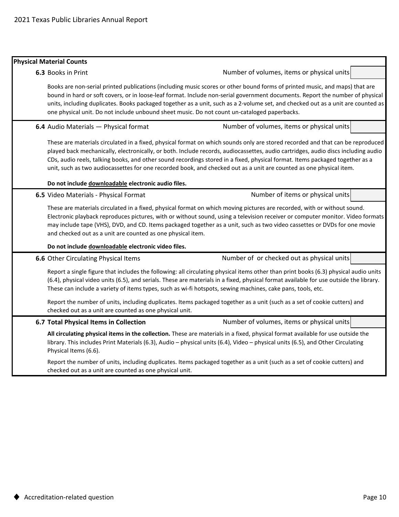## **Physical Material Counts 6.3** Books in Print **6.4** Audio Materials — Physical format **Do not include downloadable electronic audio files. 6.5** Video Materials - Physical Format **Do not include downloadable electronic video files. 6.6** Other Circulating Physical Items **6.7 Total Physical Items in Collection** These are materials circulated in a fixed, physical format on which sounds only are stored recorded and that can be reproduced played back mechanically, electronically, or both. Include records, audiocassettes, audio cartridges, audio discs including audio CDs, audio reels, talking books, and other sound recordings stored in a fixed, physical format. Items packaged together as a unit, such as two audiocassettes for one recorded book, and checked out as a unit are counted as one physical item. Report a single figure that includes the following: all circulating physical items other than print books (6.3) physical audio units (6.4), physical video units (6.5), and serials. These are materials in a fixed, physical format available for use outside the library. These can include a variety of items types, such as wi-fi hotspots, sewing machines, cake pans, tools, etc. Number of or checked out as physical units Books are non-serial printed publications (including music scores or other bound forms of printed music, and maps) that are bound in hard or soft covers, or in loose-leaf format. Include non-serial government documents. Report the number of physical units, including duplicates. Books packaged together as a unit, such as a 2-volume set, and checked out as a unit are counted as one physical unit. Do not include unbound sheet music. Do not count un-cataloged paperbacks. These are materials circulated in a fixed, physical format on which moving pictures are recorded, with or without sound. Electronic playback reproduces pictures, with or without sound, using a television receiver or computer monitor. Video formats may include tape (VHS), DVD, and CD. Items packaged together as a unit, such as two video cassettes or DVDs for one movie and checked out as a unit are counted as one physical item. Number of volumes, items or physical units **All circulating physical items in the collection.** These are materials in a fixed, physical format available for use outside the library. This includes Print Materials (6.3), Audio – physical units (6.4), Video – physical units (6.5), and Other Circulating Physical Items (6.6). Report the number of units, including duplicates. Items packaged together as a unit (such as a set of cookie cutters) and checked out as a unit are counted as one physical unit. Report the number of units, including duplicates. Items packaged together as a unit (such as a set of cookie cutters) and checked out as a unit are counted as one physical unit. Number of volumes, items or physical units Number of items or physical units Number of volumes, items or physical units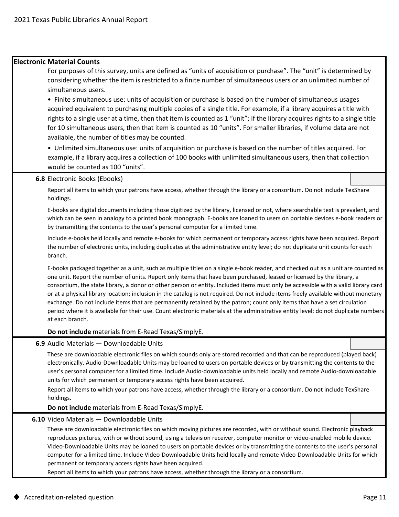#### **Electronic Material Counts**

For purposes of this survey, units are defined as "units of acquisition or purchase". The "unit" is determined by considering whether the item is restricted to a finite number of simultaneous users or an unlimited number of simultaneous users.

• Finite simultaneous use: units of acquisition or purchase is based on the number of simultaneous usages acquired equivalent to purchasing multiple copies of a single title. For example, if a library acquires a title with rights to a single user at a time, then that item is counted as 1 "unit"; if the library acquires rights to a single title for 10 simultaneous users, then that item is counted as 10 "units". For smaller libraries, if volume data are not available, the number of titles may be counted.

• Unlimited simultaneous use: units of acquisition or purchase is based on the number of titles acquired. For example, if a library acquires a collection of 100 books with unlimited simultaneous users, then that collection would be counted as 100 "units".

#### **6.8** Electronic Books (Ebooks)

Report all items to which your patrons have access, whether through the library or a consortium. Do not include TexShare holdings.

E-books are digital documents including those digitized by the library, licensed or not, where searchable text is prevalent, and which can be seen in analogy to a printed book monograph. E-books are loaned to users on portable devices e-book readers or by transmitting the contents to the user's personal computer for a limited time.

Include e-books held locally and remote e-books for which permanent or temporary access rights have been acquired. Report the number of electronic units, including duplicates at the administrative entity level; do not duplicate unit counts for each branch.

E-books packaged together as a unit, such as multiple titles on a single e-book reader, and checked out as a unit are counted as one unit. Report the number of units. Report only items that have been purchased, leased or licensed by the library, a consortium, the state library, a donor or other person or entity. Included items must only be accessible with a valid library card or at a physical library location; inclusion in the catalog is not required. Do not include items freely available without monetary exchange. Do not include items that are permanently retained by the patron; count only items that have a set circulation period where it is available for their use. Count electronic materials at the administrative entity level; do not duplicate numbers at each branch.

#### **Do not include** materials from E-Read Texas/SimplyE.

#### **6.9** Audio Materials — Downloadable Units

These are downloadable electronic files on which sounds only are stored recorded and that can be reproduced (played back) electronically. Audio-Downloadable Units may be loaned to users on portable devices or by transmitting the contents to the user's personal computer for a limited time. Include Audio-downloadable units held locally and remote Audio-downloadable units for which permanent or temporary access rights have been acquired.

Report all items to which your patrons have access, whether through the library or a consortium. Do not include TexShare holdings.

#### **Do not include** materials from E-Read Texas/SimplyE.

#### **6.10** Video Materials — Downloadable Units

These are downloadable electronic files on which moving pictures are recorded, with or without sound. Electronic playback reproduces pictures, with or without sound, using a television receiver, computer monitor or video-enabled mobile device. Video-Downloadable Units may be loaned to users on portable devices or by transmitting the contents to the user's personal computer for a limited time. Include Video-Downloadable Units held locally and remote Video-Downloadable Units for which permanent or temporary access rights have been acquired.

Report all items to which your patrons have access, whether through the library or a consortium.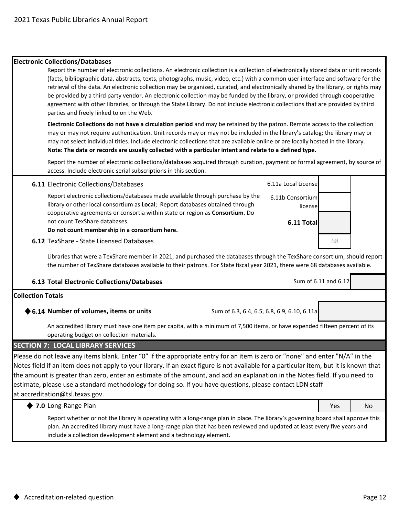#### **Electronic Collections/Databases**

Report the number of electronic collections. An electronic collection is a collection of electronically stored data or unit records (facts, bibliographic data, abstracts, texts, photographs, music, video, etc.) with a common user interface and software for the retrieval of the data. An electronic collection may be organized, curated, and electronically shared by the library, or rights may be provided by a third party vendor. An electronic collection may be funded by the library, or provided through cooperative agreement with other libraries, or through the State Library. Do not include electronic collections that are provided by third parties and freely linked to on the Web.

**Electronic Collections do not have a circulation period** and may be retained by the patron. Remote access to the collection may or may not require authentication. Unit records may or may not be included in the library's catalog; the library may or may not select individual titles. Include electronic collections that are available online or are locally hosted in the library. **Note: The data or records are usually collected with a particular intent and relate to a defined type.**

Report the number of electronic collections/databases acquired through curation, payment or formal agreement, by source of access. Include electronic serial subscriptions in this section.

| <b>6.11 Electronic Collections/Databases</b>                                                                                                                                                                                                             | 6.11a Local License          |                      |  |
|----------------------------------------------------------------------------------------------------------------------------------------------------------------------------------------------------------------------------------------------------------|------------------------------|----------------------|--|
| Report electronic collections/databases made available through purchase by the<br>library or other local consortium as Local; Report databases obtained through<br>cooperative agreements or consortia within state or region as Consortium. Do          | 6.11b Consortium<br>licensel |                      |  |
| not count TexShare databases.<br>Do not count membership in a consortium here.                                                                                                                                                                           | 6.11 Totall                  |                      |  |
| <b>6.12 TexShare - State Licensed Databases</b>                                                                                                                                                                                                          |                              | 68                   |  |
| Libraries that were a TexShare member in 2021, and purchased the databases through the TexShare consortium, should report<br>the number of TexShare databases available to their patrons. For State fiscal year 2021, there were 68 databases available. |                              |                      |  |
| 6.13 Total Electronic Collections/Databases                                                                                                                                                                                                              |                              | Sum of 6.11 and 6.12 |  |

#### **Collection Totals**

#### ◆ 6.14 Number of volumes, items or units Sum of 6.3, 6.4, 6.5, 6.8, 6.9, 6.10, 6.11a

An accredited library must have one item per capita, with a minimum of 7,500 items, or have expended fifteen percent of its operating budget on collection materials.

#### **SECTION 7: LOCAL LIBRARY SERVICES**

Please do not leave any items blank. Enter "0" if the appropriate entry for an item is zero or "none" and enter "N/A" in the Notes field if an item does not apply to your library. If an exact figure is not available for a particular item, but it is known that the amount is greater than zero, enter an estimate of the amount, and add an explanation in the Notes field. If you need to estimate, please use a standard methodology for doing so. If you have questions, please contact LDN staff at accreditation@tsl.texas.gov.

| $\bullet$ 7.0 Long-Range Plan                                                                                                    | Yes | No |
|----------------------------------------------------------------------------------------------------------------------------------|-----|----|
| Report whether or not the library is operating with a long-range plan in place. The library's governing board shall approve this |     |    |
| plan. An accredited library must have a long-range plan that has been reviewed and updated at least every five years and         |     |    |
| include a collection development element and a technology element.                                                               |     |    |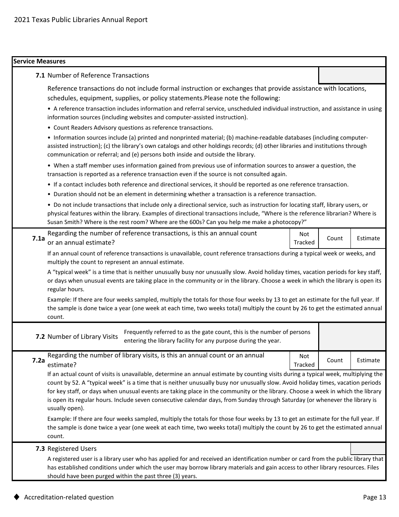| <b>Service Measures</b>                                                                                                                                                                                                                                                                                                                                                                                                                                                                                                                                      |                |       |          |  |  |                                                                                                                                                                                                                                                                                                                                             |  |  |  |
|--------------------------------------------------------------------------------------------------------------------------------------------------------------------------------------------------------------------------------------------------------------------------------------------------------------------------------------------------------------------------------------------------------------------------------------------------------------------------------------------------------------------------------------------------------------|----------------|-------|----------|--|--|---------------------------------------------------------------------------------------------------------------------------------------------------------------------------------------------------------------------------------------------------------------------------------------------------------------------------------------------|--|--|--|
| 7.1 Number of Reference Transactions                                                                                                                                                                                                                                                                                                                                                                                                                                                                                                                         |                |       |          |  |  |                                                                                                                                                                                                                                                                                                                                             |  |  |  |
| Reference transactions do not include formal instruction or exchanges that provide assistance with locations,<br>schedules, equipment, supplies, or policy statements. Please note the following:<br>• A reference transaction includes information and referral service, unscheduled individual instruction, and assistance in using<br>information sources (including websites and computer-assisted instruction).<br>• Count Readers Advisory questions as reference transactions.                                                                        |                |       |          |  |  |                                                                                                                                                                                                                                                                                                                                             |  |  |  |
|                                                                                                                                                                                                                                                                                                                                                                                                                                                                                                                                                              |                |       |          |  |  | • Information sources include (a) printed and nonprinted material; (b) machine-readable databases (including computer-<br>assisted instruction); (c) the library's own catalogs and other holdings records; (d) other libraries and institutions through<br>communication or referral; and (e) persons both inside and outside the library. |  |  |  |
|                                                                                                                                                                                                                                                                                                                                                                                                                                                                                                                                                              |                |       |          |  |  | • When a staff member uses information gained from previous use of information sources to answer a question, the<br>transaction is reported as a reference transaction even if the source is not consulted again.                                                                                                                           |  |  |  |
|                                                                                                                                                                                                                                                                                                                                                                                                                                                                                                                                                              |                |       |          |  |  | • If a contact includes both reference and directional services, it should be reported as one reference transaction.                                                                                                                                                                                                                        |  |  |  |
| • Duration should not be an element in determining whether a transaction is a reference transaction.                                                                                                                                                                                                                                                                                                                                                                                                                                                         |                |       |          |  |  |                                                                                                                                                                                                                                                                                                                                             |  |  |  |
| • Do not include transactions that include only a directional service, such as instruction for locating staff, library users, or<br>physical features within the library. Examples of directional transactions include, "Where is the reference librarian? Where is<br>Susan Smith? Where is the rest room? Where are the 600s? Can you help me make a photocopy?"                                                                                                                                                                                           |                |       |          |  |  |                                                                                                                                                                                                                                                                                                                                             |  |  |  |
| Regarding the number of reference transactions, is this an annual count<br>7.1a<br>or an annual estimate?                                                                                                                                                                                                                                                                                                                                                                                                                                                    | Not<br>Tracked | Count | Estimate |  |  |                                                                                                                                                                                                                                                                                                                                             |  |  |  |
| If an annual count of reference transactions is unavailable, count reference transactions during a typical week or weeks, and<br>multiply the count to represent an annual estimate.                                                                                                                                                                                                                                                                                                                                                                         |                |       |          |  |  |                                                                                                                                                                                                                                                                                                                                             |  |  |  |
| A "typical week" is a time that is neither unusually busy nor unusually slow. Avoid holiday times, vacation periods for key staff,<br>or days when unusual events are taking place in the community or in the library. Choose a week in which the library is open its<br>regular hours.                                                                                                                                                                                                                                                                      |                |       |          |  |  |                                                                                                                                                                                                                                                                                                                                             |  |  |  |
| Example: If there are four weeks sampled, multiply the totals for those four weeks by 13 to get an estimate for the full year. If<br>the sample is done twice a year (one week at each time, two weeks total) multiply the count by 26 to get the estimated annual<br>count.                                                                                                                                                                                                                                                                                 |                |       |          |  |  |                                                                                                                                                                                                                                                                                                                                             |  |  |  |
| Frequently referred to as the gate count, this is the number of persons<br>7.2 Number of Library Visits<br>entering the library facility for any purpose during the year.                                                                                                                                                                                                                                                                                                                                                                                    |                |       |          |  |  |                                                                                                                                                                                                                                                                                                                                             |  |  |  |
| Regarding the number of library visits, is this an annual count or an annual<br>7.2a<br>estimate?                                                                                                                                                                                                                                                                                                                                                                                                                                                            | Not<br>Tracked | Count | Estimate |  |  |                                                                                                                                                                                                                                                                                                                                             |  |  |  |
| If an actual count of visits is unavailable, determine an annual estimate by counting visits during a typical week, multiplying the<br>count by 52. A "typical week" is a time that is neither unusually busy nor unusually slow. Avoid holiday times, vacation periods<br>for key staff, or days when unusual events are taking place in the community or the library. Choose a week in which the library<br>is open its regular hours. Include seven consecutive calendar days, from Sunday through Saturday (or whenever the library is<br>usually open). |                |       |          |  |  |                                                                                                                                                                                                                                                                                                                                             |  |  |  |
| Example: If there are four weeks sampled, multiply the totals for those four weeks by 13 to get an estimate for the full year. If<br>the sample is done twice a year (one week at each time, two weeks total) multiply the count by 26 to get the estimated annual<br>count.                                                                                                                                                                                                                                                                                 |                |       |          |  |  |                                                                                                                                                                                                                                                                                                                                             |  |  |  |
| 7.3 Registered Users                                                                                                                                                                                                                                                                                                                                                                                                                                                                                                                                         |                |       |          |  |  |                                                                                                                                                                                                                                                                                                                                             |  |  |  |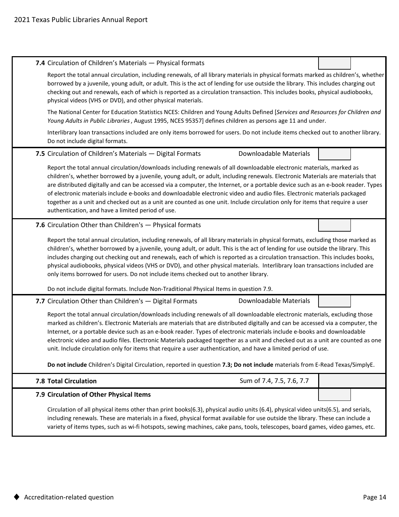| 7.4 Circulation of Children's Materials - Physical formats                                                                                                                                                                                                                                                                                                                                                                                                                                                                                                                                                                                                                                                                         |
|------------------------------------------------------------------------------------------------------------------------------------------------------------------------------------------------------------------------------------------------------------------------------------------------------------------------------------------------------------------------------------------------------------------------------------------------------------------------------------------------------------------------------------------------------------------------------------------------------------------------------------------------------------------------------------------------------------------------------------|
| Report the total annual circulation, including renewals, of all library materials in physical formats marked as children's, whether<br>borrowed by a juvenile, young adult, or adult. This is the act of lending for use outside the library. This includes charging out<br>checking out and renewals, each of which is reported as a circulation transaction. This includes books, physical audiobooks,<br>physical videos (VHS or DVD), and other physical materials.                                                                                                                                                                                                                                                            |
| The National Center for Education Statistics NCES: Children and Young Adults Defined [Services and Resources for Children and<br>Young Adults in Public Libraries, August 1995, NCES 95357] defines children as persons age 11 and under.                                                                                                                                                                                                                                                                                                                                                                                                                                                                                          |
| Interlibrary loan transactions included are only items borrowed for users. Do not include items checked out to another library.<br>Do not include digital formats.                                                                                                                                                                                                                                                                                                                                                                                                                                                                                                                                                                 |
| 7.5 Circulation of Children's Materials - Digital Formats<br><b>Downloadable Materials</b>                                                                                                                                                                                                                                                                                                                                                                                                                                                                                                                                                                                                                                         |
| Report the total annual circulation/downloads including renewals of all downloadable electronic materials, marked as<br>children's, whether borrowed by a juvenile, young adult, or adult, including renewals. Electronic Materials are materials that<br>are distributed digitally and can be accessed via a computer, the Internet, or a portable device such as an e-book reader. Types<br>of electronic materials include e-books and downloadable electronic video and audio files. Electronic materials packaged<br>together as a unit and checked out as a unit are counted as one unit. Include circulation only for items that require a user<br>authentication, and have a limited period of use.                        |
| 7.6 Circulation Other than Children's - Physical formats                                                                                                                                                                                                                                                                                                                                                                                                                                                                                                                                                                                                                                                                           |
| Report the total annual circulation, including renewals, of all library materials in physical formats, excluding those marked as<br>children's, whether borrowed by a juvenile, young adult, or adult. This is the act of lending for use outside the library. This<br>includes charging out checking out and renewals, each of which is reported as a circulation transaction. This includes books,                                                                                                                                                                                                                                                                                                                               |
| physical audiobooks, physical videos (VHS or DVD), and other physical materials. Interlibrary loan transactions included are<br>only items borrowed for users. Do not include items checked out to another library.                                                                                                                                                                                                                                                                                                                                                                                                                                                                                                                |
| Do not include digital formats. Include Non-Traditional Physical Items in question 7.9.                                                                                                                                                                                                                                                                                                                                                                                                                                                                                                                                                                                                                                            |
| Downloadable Materials<br>7.7 Circulation Other than Children's - Digital Formats<br>Report the total annual circulation/downloads including renewals of all downloadable electronic materials, excluding those<br>marked as children's. Electronic Materials are materials that are distributed digitally and can be accessed via a computer, the<br>Internet, or a portable device such as an e-book reader. Types of electronic materials include e-books and downloadable<br>electronic video and audio files. Electronic Materials packaged together as a unit and checked out as a unit are counted as one<br>unit. Include circulation only for items that require a user authentication, and have a limited period of use. |
| Do not include Children's Digital Circulation, reported in question 7.3; Do not include materials from E-Read Texas/SimplyE.                                                                                                                                                                                                                                                                                                                                                                                                                                                                                                                                                                                                       |
| Sum of 7.4, 7.5, 7.6, 7.7<br><b>7.8 Total Circulation</b>                                                                                                                                                                                                                                                                                                                                                                                                                                                                                                                                                                                                                                                                          |
| 7.9 Circulation of Other Physical Items                                                                                                                                                                                                                                                                                                                                                                                                                                                                                                                                                                                                                                                                                            |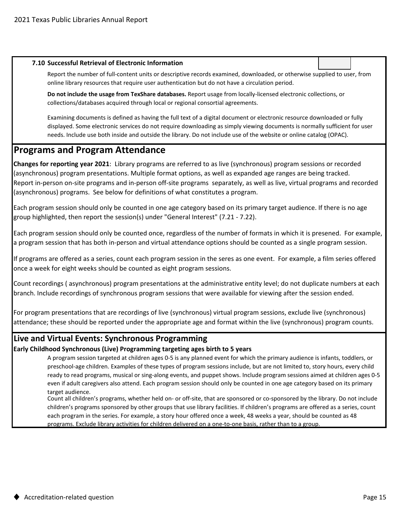#### **7.10 Successful Retrieval of Electronic Information**

Report the number of full-content units or descriptive records examined, downloaded, or otherwise supplied to user, from online library resources that require user authentication but do not have a circulation period.

**Do not include the usage from TexShare databases.** Report usage from locally-licensed electronic collections, or collections/databases acquired through local or regional consortial agreements.

Examining documents is defined as having the full text of a digital document or electronic resource downloaded or fully displayed. Some electronic services do not require downloading as simply viewing documents is normally sufficient for user needs. Include use both inside and outside the library. Do not include use of the website or online catalog (OPAC).

## **Programs and Program Attendance**

**Changes for reporting year 2021**: Library programs are referred to as live (synchronous) program sessions or recorded (asynchronous) program presentations. Multiple format options, as well as expanded age ranges are being tracked. Report in-person on-site programs and in-person off-site programs separately, as well as live, virtual programs and recorded (asynchronous) programs. See below for definitions of what constitutes a program.

Each program session should only be counted in one age category based on its primary target audience. If there is no age group highlighted, then report the session(s) under "General Interest" (7.21 - 7.22).

Each program session should only be counted once, regardless of the number of formats in which it is presened. For example, a program session that has both in-person and virtual attendance options should be counted as a single program session.

If programs are offered as a series, count each program session in the seres as one event. For example, a film series offered once a week for eight weeks should be counted as eight program sessions.

Count recordings ( asynchronous) program presentations at the administrative entity level; do not duplicate numbers at each branch. Include recordings of synchronous program sessions that were available for viewing after the session ended.

For program presentations that are recordings of live (synchronous) virtual program sessions, exclude live (synchronous) attendance; these should be reported under the appropriate age and format within the live (synchronous) program counts.

## **Live and Virtual Events: Synchronous Programming**

**Early Childhood Synchronous (Live) Programming targeting ages birth to 5 years**

A program session targeted at children ages 0-5 is any planned event for which the primary audience is infants, toddlers, or preschool-age children. Examples of these types of program sessions include, but are not limited to, story hours, every child ready to read programs, musical or sing-along events, and puppet shows. Include program sessions aimed at children ages 0-5 even if adult caregivers also attend. Each program session should only be counted in one age category based on its primary target audience.

Count all children's programs, whether held on- or off-site, that are sponsored or co-sponsored by the library. Do not include children's programs sponsored by other groups that use library facilities. If children's programs are offered as a series, count each program in the series. For example, a story hour offered once a week, 48 weeks a year, should be counted as 48 programs. Exclude library activities for children delivered on a one-to-one basis, rather than to a group.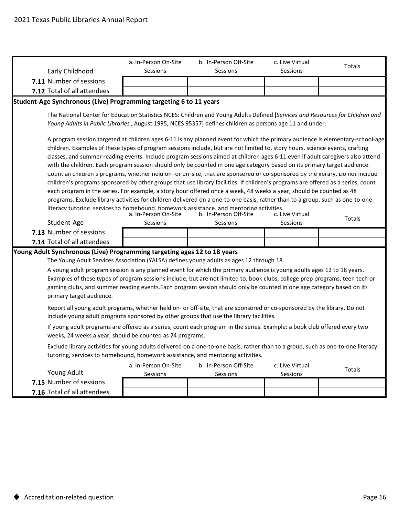|  | Early Childhood                                                                                                                                                                                                                                                                                                                                                                                               | a. In-Person On-Site<br>Sessions | b. In-Person Off-Site<br>Sessions                                                                                                                                                                                                                         | c. Live Virtual<br>Sessions | Totals |  |  |  |  |
|--|---------------------------------------------------------------------------------------------------------------------------------------------------------------------------------------------------------------------------------------------------------------------------------------------------------------------------------------------------------------------------------------------------------------|----------------------------------|-----------------------------------------------------------------------------------------------------------------------------------------------------------------------------------------------------------------------------------------------------------|-----------------------------|--------|--|--|--|--|
|  | 7.11 Number of sessions                                                                                                                                                                                                                                                                                                                                                                                       |                                  |                                                                                                                                                                                                                                                           |                             |        |  |  |  |  |
|  | 7.12 Total of all attendees                                                                                                                                                                                                                                                                                                                                                                                   |                                  |                                                                                                                                                                                                                                                           |                             |        |  |  |  |  |
|  | Student-Age Synchronous (Live) Programming targeting 6 to 11 years                                                                                                                                                                                                                                                                                                                                            |                                  |                                                                                                                                                                                                                                                           |                             |        |  |  |  |  |
|  |                                                                                                                                                                                                                                                                                                                                                                                                               |                                  | The National Center for Education Statistics NCES: Children and Young Adults Defined [Services and Resources for Children and                                                                                                                             |                             |        |  |  |  |  |
|  | Young Adults in Public Libraries, August 1995, NCES 95357] defines children as persons age 11 and under.                                                                                                                                                                                                                                                                                                      |                                  |                                                                                                                                                                                                                                                           |                             |        |  |  |  |  |
|  | A program session targeted at children ages 6-11 is any planned event for which the primary audience is elementary-school-age                                                                                                                                                                                                                                                                                 |                                  |                                                                                                                                                                                                                                                           |                             |        |  |  |  |  |
|  |                                                                                                                                                                                                                                                                                                                                                                                                               |                                  | children. Examples of these types of program sessions include, but are not limited to, story hours, science events, crafting                                                                                                                              |                             |        |  |  |  |  |
|  |                                                                                                                                                                                                                                                                                                                                                                                                               |                                  | classes, and summer reading events. Include program sessions aimed at children ages 6-11 even if adult caregivers also attend<br>with the children. Each program session should only be counted in one age category based on its primary target audience. |                             |        |  |  |  |  |
|  |                                                                                                                                                                                                                                                                                                                                                                                                               |                                  | Count all children's programs, whether held on- or off-site, that are sponsored or co-sponsored by the library. Do not include                                                                                                                            |                             |        |  |  |  |  |
|  |                                                                                                                                                                                                                                                                                                                                                                                                               |                                  | children's programs sponsored by other groups that use library facilities. If children's programs are offered as a series, count                                                                                                                          |                             |        |  |  |  |  |
|  |                                                                                                                                                                                                                                                                                                                                                                                                               |                                  | each program in the series. For example, a story hour offered once a week, 48 weeks a year, should be counted as 48                                                                                                                                       |                             |        |  |  |  |  |
|  |                                                                                                                                                                                                                                                                                                                                                                                                               |                                  | programs. Exclude library activities for children delivered on a one-to-one basis, rather than to a group, such as one-to-one                                                                                                                             |                             |        |  |  |  |  |
|  |                                                                                                                                                                                                                                                                                                                                                                                                               | a. In-Person On-Site             | literacy tutoring, services to homebound, homework assistance, and mentoring activities.<br>b. In-Person Off-Site                                                                                                                                         | c. Live Virtual             |        |  |  |  |  |
|  | Student-Age                                                                                                                                                                                                                                                                                                                                                                                                   | Sessions                         | Sessions<br>Sessions                                                                                                                                                                                                                                      |                             | Totals |  |  |  |  |
|  | 7.13 Number of sessions                                                                                                                                                                                                                                                                                                                                                                                       |                                  |                                                                                                                                                                                                                                                           |                             |        |  |  |  |  |
|  | 7.14 Total of all attendees                                                                                                                                                                                                                                                                                                                                                                                   |                                  |                                                                                                                                                                                                                                                           |                             |        |  |  |  |  |
|  | Young Adult Synchronous (Live) Programming targeting ages 12 to 18 years                                                                                                                                                                                                                                                                                                                                      |                                  |                                                                                                                                                                                                                                                           |                             |        |  |  |  |  |
|  |                                                                                                                                                                                                                                                                                                                                                                                                               |                                  | The Young Adult Services Association (YALSA) defines young adults as ages 12 through 18.                                                                                                                                                                  |                             |        |  |  |  |  |
|  |                                                                                                                                                                                                                                                                                                                                                                                                               |                                  | A young adult program session is any planned event for which the primary audience is young adults ages 12 to 18 years.<br>Examples of these types of program sessions include, but are not limited to, book clubs, college prep programs, teen tech or    |                             |        |  |  |  |  |
|  |                                                                                                                                                                                                                                                                                                                                                                                                               |                                  | gaming clubs, and summer reading events. Each program session should only be counted in one age category based on its                                                                                                                                     |                             |        |  |  |  |  |
|  | primary target audience.                                                                                                                                                                                                                                                                                                                                                                                      |                                  |                                                                                                                                                                                                                                                           |                             |        |  |  |  |  |
|  |                                                                                                                                                                                                                                                                                                                                                                                                               |                                  | Report all young adult programs, whether held on- or off-site, that are sponsored or co-sponsored by the library. Do not                                                                                                                                  |                             |        |  |  |  |  |
|  |                                                                                                                                                                                                                                                                                                                                                                                                               |                                  | include young adult programs sponsored by other groups that use the library facilities.                                                                                                                                                                   |                             |        |  |  |  |  |
|  | If young adult programs are offered as a series, count each program in the series. Example: a book club offered every two<br>weeks, 24 weeks a year, should be counted as 24 programs.<br>Exclude library activities for young adults delivered on a one-to-one basis, rather than to a group, such as one-to-one literacy<br>tutoring, services to homebound, homework assistance, and mentoring activities. |                                  |                                                                                                                                                                                                                                                           |                             |        |  |  |  |  |
|  |                                                                                                                                                                                                                                                                                                                                                                                                               |                                  |                                                                                                                                                                                                                                                           |                             |        |  |  |  |  |
|  | Young Adult                                                                                                                                                                                                                                                                                                                                                                                                   | a. In-Person On-Site<br>Sessions | b. In-Person Off-Site<br><b>Sessions</b>                                                                                                                                                                                                                  | c. Live Virtual<br>Sessions | Totals |  |  |  |  |
|  | 7.15 Number of sessions                                                                                                                                                                                                                                                                                                                                                                                       |                                  |                                                                                                                                                                                                                                                           |                             |        |  |  |  |  |
|  | 7.16 Total of all attendees                                                                                                                                                                                                                                                                                                                                                                                   |                                  |                                                                                                                                                                                                                                                           |                             |        |  |  |  |  |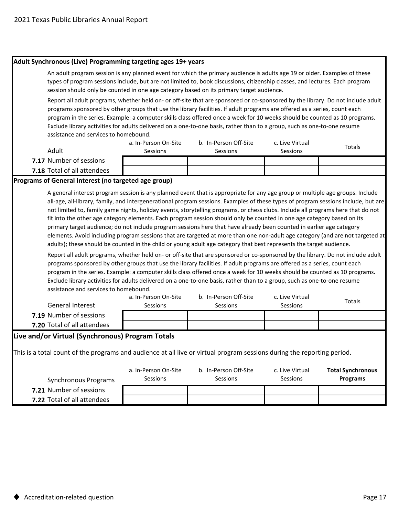| Adult Synchronous (Live) Programming targeting ages 19+ years                                                                                                                                                                                                                                                                                                                                                                                                                                                                                                                                                                                                                                                                                                                                                                                                                                                                                                                                                                                                                                                                                                                                                                                                                                                                                                                                                                                                                                    |                                                                                                                                                                                                                                                                                                                                                                                                                                                                                                                                                                                                                                     |          |          |        |  |  |  |  |  |
|--------------------------------------------------------------------------------------------------------------------------------------------------------------------------------------------------------------------------------------------------------------------------------------------------------------------------------------------------------------------------------------------------------------------------------------------------------------------------------------------------------------------------------------------------------------------------------------------------------------------------------------------------------------------------------------------------------------------------------------------------------------------------------------------------------------------------------------------------------------------------------------------------------------------------------------------------------------------------------------------------------------------------------------------------------------------------------------------------------------------------------------------------------------------------------------------------------------------------------------------------------------------------------------------------------------------------------------------------------------------------------------------------------------------------------------------------------------------------------------------------|-------------------------------------------------------------------------------------------------------------------------------------------------------------------------------------------------------------------------------------------------------------------------------------------------------------------------------------------------------------------------------------------------------------------------------------------------------------------------------------------------------------------------------------------------------------------------------------------------------------------------------------|----------|----------|--------|--|--|--|--|--|
| An adult program session is any planned event for which the primary audience is adults age 19 or older. Examples of these<br>types of program sessions include, but are not limited to, book discussions, citizenship classes, and lectures. Each program<br>session should only be counted in one age category based on its primary target audience.                                                                                                                                                                                                                                                                                                                                                                                                                                                                                                                                                                                                                                                                                                                                                                                                                                                                                                                                                                                                                                                                                                                                            |                                                                                                                                                                                                                                                                                                                                                                                                                                                                                                                                                                                                                                     |          |          |        |  |  |  |  |  |
|                                                                                                                                                                                                                                                                                                                                                                                                                                                                                                                                                                                                                                                                                                                                                                                                                                                                                                                                                                                                                                                                                                                                                                                                                                                                                                                                                                                                                                                                                                  | Report all adult programs, whether held on- or off-site that are sponsored or co-sponsored by the library. Do not include adult<br>programs sponsored by other groups that use the library facilities. If adult programs are offered as a series, count each<br>program in the series. Example: a computer skills class offered once a week for 10 weeks should be counted as 10 programs.<br>Exclude library activities for adults delivered on a one-to-one basis, rather than to a group, such as one-to-one resume<br>assistance and services to homebound.<br>a. In-Person On-Site<br>b. In-Person Off-Site<br>c. Live Virtual |          |          |        |  |  |  |  |  |
| Adult                                                                                                                                                                                                                                                                                                                                                                                                                                                                                                                                                                                                                                                                                                                                                                                                                                                                                                                                                                                                                                                                                                                                                                                                                                                                                                                                                                                                                                                                                            | Sessions                                                                                                                                                                                                                                                                                                                                                                                                                                                                                                                                                                                                                            | Sessions | Sessions | Totals |  |  |  |  |  |
| 7.17 Number of sessions                                                                                                                                                                                                                                                                                                                                                                                                                                                                                                                                                                                                                                                                                                                                                                                                                                                                                                                                                                                                                                                                                                                                                                                                                                                                                                                                                                                                                                                                          |                                                                                                                                                                                                                                                                                                                                                                                                                                                                                                                                                                                                                                     |          |          |        |  |  |  |  |  |
| 7.18 Total of all attendees                                                                                                                                                                                                                                                                                                                                                                                                                                                                                                                                                                                                                                                                                                                                                                                                                                                                                                                                                                                                                                                                                                                                                                                                                                                                                                                                                                                                                                                                      |                                                                                                                                                                                                                                                                                                                                                                                                                                                                                                                                                                                                                                     |          |          |        |  |  |  |  |  |
| Programs of General Interest (no targeted age group)                                                                                                                                                                                                                                                                                                                                                                                                                                                                                                                                                                                                                                                                                                                                                                                                                                                                                                                                                                                                                                                                                                                                                                                                                                                                                                                                                                                                                                             |                                                                                                                                                                                                                                                                                                                                                                                                                                                                                                                                                                                                                                     |          |          |        |  |  |  |  |  |
| all-age, all-library, family, and intergenerational program sessions. Examples of these types of program sessions include, but are<br>not limited to, family game nights, holiday events, storytelling programs, or chess clubs. Include all programs here that do not<br>fit into the other age category elements. Each program session should only be counted in one age category based on its<br>primary target audience; do not include program sessions here that have already been counted in earlier age category<br>elements. Avoid including program sessions that are targeted at more than one non-adult age category (and are not targeted at<br>adults); these should be counted in the child or young adult age category that best represents the target audience.<br>Report all adult programs, whether held on- or off-site that are sponsored or co-sponsored by the library. Do not include adult<br>programs sponsored by other groups that use the library facilities. If adult programs are offered as a series, count each<br>program in the series. Example: a computer skills class offered once a week for 10 weeks should be counted as 10 programs.<br>Exclude library activities for adults delivered on a one-to-one basis, rather than to a group, such as one-to-one resume<br>assistance and services to homebound.<br>a. In-Person On-Site<br>b. In-Person Off-Site<br>c. Live Virtual<br>Totals<br><b>General Interest</b><br>Sessions<br>Sessions<br>Sessions |                                                                                                                                                                                                                                                                                                                                                                                                                                                                                                                                                                                                                                     |          |          |        |  |  |  |  |  |
| 7.19 Number of sessions                                                                                                                                                                                                                                                                                                                                                                                                                                                                                                                                                                                                                                                                                                                                                                                                                                                                                                                                                                                                                                                                                                                                                                                                                                                                                                                                                                                                                                                                          |                                                                                                                                                                                                                                                                                                                                                                                                                                                                                                                                                                                                                                     |          |          |        |  |  |  |  |  |
| 7.20 Total of all attendees                                                                                                                                                                                                                                                                                                                                                                                                                                                                                                                                                                                                                                                                                                                                                                                                                                                                                                                                                                                                                                                                                                                                                                                                                                                                                                                                                                                                                                                                      |                                                                                                                                                                                                                                                                                                                                                                                                                                                                                                                                                                                                                                     |          |          |        |  |  |  |  |  |
| Live and/or Virtual (Synchronous) Program Totals<br>This is a total count of the programs and audience at all live or virtual program sessions during the reporting period.<br>a. In-Person On-Site<br>b. In-Person Off-Site<br><b>Total Synchronous</b><br>c. Live Virtual<br>Sessions<br>Sessions<br>Sessions<br><b>Programs</b><br><b>Synchronous Programs</b>                                                                                                                                                                                                                                                                                                                                                                                                                                                                                                                                                                                                                                                                                                                                                                                                                                                                                                                                                                                                                                                                                                                                |                                                                                                                                                                                                                                                                                                                                                                                                                                                                                                                                                                                                                                     |          |          |        |  |  |  |  |  |
| 7.21 Number of sessions                                                                                                                                                                                                                                                                                                                                                                                                                                                                                                                                                                                                                                                                                                                                                                                                                                                                                                                                                                                                                                                                                                                                                                                                                                                                                                                                                                                                                                                                          |                                                                                                                                                                                                                                                                                                                                                                                                                                                                                                                                                                                                                                     |          |          |        |  |  |  |  |  |
| 7.22 Total of all attendees                                                                                                                                                                                                                                                                                                                                                                                                                                                                                                                                                                                                                                                                                                                                                                                                                                                                                                                                                                                                                                                                                                                                                                                                                                                                                                                                                                                                                                                                      |                                                                                                                                                                                                                                                                                                                                                                                                                                                                                                                                                                                                                                     |          |          |        |  |  |  |  |  |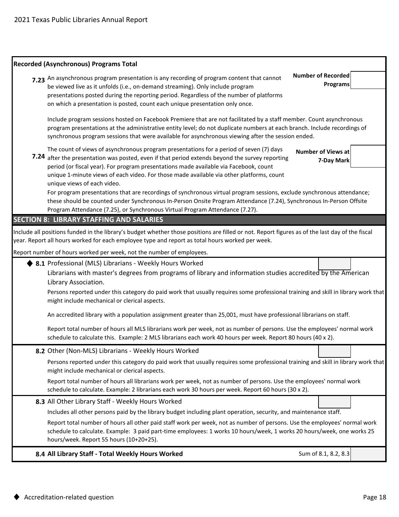| <b>Recorded (Asynchronous) Programs Total</b>                                                                                                                                                                                                                                                                                                                                                                  |                                              |
|----------------------------------------------------------------------------------------------------------------------------------------------------------------------------------------------------------------------------------------------------------------------------------------------------------------------------------------------------------------------------------------------------------------|----------------------------------------------|
| 7.23 An asynchronous program presentation is any recording of program content that cannot<br>be viewed live as it unfolds (i.e., on-demand streaming). Only include program<br>presentations posted during the reporting period. Regardless of the number of platforms<br>on which a presentation is posted, count each unique presentation only once.                                                         | <b>Number of Recorded</b><br><b>Programs</b> |
| Include program sessions hosted on Facebook Premiere that are not facilitated by a staff member. Count asynchronous<br>program presentations at the administrative entity level; do not duplicate numbers at each branch. Include recordings of<br>synchronous program sessions that were available for asynchronous viewing after the session ended.                                                          |                                              |
| The count of views of asynchronous program presentations for a period of seven (7) days<br>7.24 after the presentation was posted, even if that period extends beyond the survey reporting<br>period (or fiscal year). For program presentations made available via Facebook, count<br>unique 1-minute views of each video. For those made available via other platforms, count<br>unique views of each video. | <b>Number of Views at</b><br>7-Day Mark      |
| For program presentations that are recordings of synchronous virtual program sessions, exclude synchronous attendance;<br>these should be counted under Synchronous In-Person Onsite Program Attendance (7.24), Synchronous In-Person Offsite<br>Program Attendance (7.25), or Synchronous Virtual Program Attendance (7.27).                                                                                  |                                              |
| <b>SECTION 8: LIBRARY STAFFING AND SALARIES</b>                                                                                                                                                                                                                                                                                                                                                                |                                              |
| Include all positions funded in the library's budget whether those positions are filled or not. Report figures as of the last day of the fiscal<br>year. Report all hours worked for each employee type and report as total hours worked per week.                                                                                                                                                             |                                              |
| Report number of hours worked per week, not the number of employees.                                                                                                                                                                                                                                                                                                                                           |                                              |
| 8.1 Professional (MLS) Librarians - Weekly Hours Worked<br>Librarians with master's degrees from programs of library and information studies accredited by the American<br>Library Association.<br>Persons reported under this category do paid work that usually requires some professional training and skill in library work that<br>might include mechanical or clerical aspects.                          |                                              |
|                                                                                                                                                                                                                                                                                                                                                                                                                |                                              |
| An accredited library with a population assignment greater than 25,001, must have professional librarians on staff.                                                                                                                                                                                                                                                                                            |                                              |
| Report total number of hours all MLS librarians work per week, not as number of persons. Use the employees' normal work<br>schedule to calculate this. Example: 2 MLS librarians each work 40 hours per week. Report 80 hours (40 x 2).                                                                                                                                                                        |                                              |
| 8.2 Other (Non-MLS) Librarians - Weekly Hours Worked                                                                                                                                                                                                                                                                                                                                                           |                                              |
| Persons reported under this category do paid work that usually requires some professional training and skill in library work that<br>might include mechanical or clerical aspects.                                                                                                                                                                                                                             |                                              |
| Report total number of hours all librarians work per week, not as number of persons. Use the employees' normal work<br>schedule to calculate. Example: 2 librarians each work 30 hours per week. Report 60 hours (30 x 2).                                                                                                                                                                                     |                                              |
| 8.3 All Other Library Staff - Weekly Hours Worked                                                                                                                                                                                                                                                                                                                                                              |                                              |
| Includes all other persons paid by the library budget including plant operation, security, and maintenance staff.                                                                                                                                                                                                                                                                                              |                                              |
| Report total number of hours all other paid staff work per week, not as number of persons. Use the employees' normal work<br>schedule to calculate. Example: 3 paid part-time employees: 1 works 10 hours/week, 1 works 20 hours/week, one works 25<br>hours/week. Report 55 hours (10+20+25).                                                                                                                 |                                              |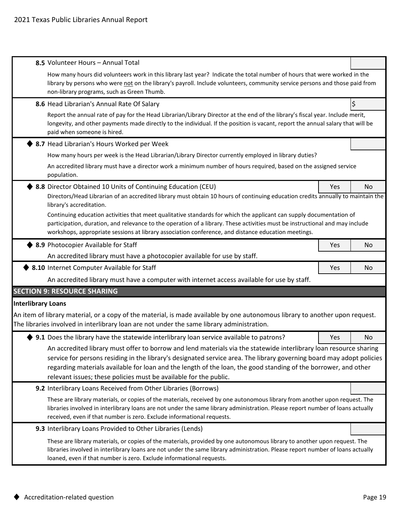|                           | 8.5 Volunteer Hours - Annual Total                                                                                                                                                                                                                                                                                                                                                                                                  |     |    |  |  |  |  |  |
|---------------------------|-------------------------------------------------------------------------------------------------------------------------------------------------------------------------------------------------------------------------------------------------------------------------------------------------------------------------------------------------------------------------------------------------------------------------------------|-----|----|--|--|--|--|--|
|                           | How many hours did volunteers work in this library last year? Indicate the total number of hours that were worked in the<br>library by persons who were not on the library's payroll. Include volunteers, community service persons and those paid from<br>non-library programs, such as Green Thumb.                                                                                                                               |     |    |  |  |  |  |  |
|                           | 8.6 Head Librarian's Annual Rate Of Salary                                                                                                                                                                                                                                                                                                                                                                                          |     | \$ |  |  |  |  |  |
|                           | Report the annual rate of pay for the Head Librarian/Library Director at the end of the library's fiscal year. Include merit,<br>longevity, and other payments made directly to the individual. If the position is vacant, report the annual salary that will be<br>paid when someone is hired.                                                                                                                                     |     |    |  |  |  |  |  |
|                           | 8.7 Head Librarian's Hours Worked per Week                                                                                                                                                                                                                                                                                                                                                                                          |     |    |  |  |  |  |  |
|                           | How many hours per week is the Head Librarian/Library Director currently employed in library duties?                                                                                                                                                                                                                                                                                                                                |     |    |  |  |  |  |  |
|                           | An accredited library must have a director work a minimum number of hours required, based on the assigned service<br>population.                                                                                                                                                                                                                                                                                                    |     |    |  |  |  |  |  |
|                           | 8.8 Director Obtained 10 Units of Continuing Education (CEU)                                                                                                                                                                                                                                                                                                                                                                        | Yes | No |  |  |  |  |  |
|                           | Directors/Head Librarian of an accredited library must obtain 10 hours of continuing education credits annually to maintain the<br>library's accreditation.                                                                                                                                                                                                                                                                         |     |    |  |  |  |  |  |
|                           | Continuing education activities that meet qualitative standards for which the applicant can supply documentation of<br>participation, duration, and relevance to the operation of a library. These activities must be instructional and may include<br>workshops, appropriate sessions at library association conference, and distance education meetings.                                                                          |     |    |  |  |  |  |  |
|                           | 8.9 Photocopier Available for Staff                                                                                                                                                                                                                                                                                                                                                                                                 | Yes | No |  |  |  |  |  |
|                           | An accredited library must have a photocopier available for use by staff.                                                                                                                                                                                                                                                                                                                                                           |     |    |  |  |  |  |  |
|                           | ♦ 8.10 Internet Computer Available for Staff                                                                                                                                                                                                                                                                                                                                                                                        | Yes | No |  |  |  |  |  |
|                           | An accredited library must have a computer with internet access available for use by staff.                                                                                                                                                                                                                                                                                                                                         |     |    |  |  |  |  |  |
|                           | <b>SECTION 9: RESOURCE SHARING</b>                                                                                                                                                                                                                                                                                                                                                                                                  |     |    |  |  |  |  |  |
| <b>Interlibrary Loans</b> |                                                                                                                                                                                                                                                                                                                                                                                                                                     |     |    |  |  |  |  |  |
|                           | An item of library material, or a copy of the material, is made available by one autonomous library to another upon request.<br>The libraries involved in interlibrary loan are not under the same library administration.                                                                                                                                                                                                          |     |    |  |  |  |  |  |
|                           | 9.1 Does the library have the statewide interlibrary loan service available to patrons?                                                                                                                                                                                                                                                                                                                                             | Yes | No |  |  |  |  |  |
|                           | An accredited library must offer to borrow and lend materials via the statewide interlibrary loan resource sharing<br>service for persons residing in the library's designated service area. The library governing board may adopt policies<br>regarding materials available for loan and the length of the loan, the good standing of the borrower, and other<br>relevant issues; these policies must be available for the public. |     |    |  |  |  |  |  |
|                           | 9.2 Interlibrary Loans Received from Other Libraries (Borrows)                                                                                                                                                                                                                                                                                                                                                                      |     |    |  |  |  |  |  |
|                           | These are library materials, or copies of the materials, received by one autonomous library from another upon request. The<br>libraries involved in interlibrary loans are not under the same library administration. Please report number of loans actually<br>received, even if that number is zero. Exclude informational requests.                                                                                              |     |    |  |  |  |  |  |
|                           | 9.3 Interlibrary Loans Provided to Other Libraries (Lends)                                                                                                                                                                                                                                                                                                                                                                          |     |    |  |  |  |  |  |
|                           | These are library materials, or copies of the materials, provided by one autonomous library to another upon request. The<br>libraries involved in interlibrary loans are not under the same library administration. Please report number of loans actually<br>loaned, even if that number is zero. Exclude informational requests.                                                                                                  |     |    |  |  |  |  |  |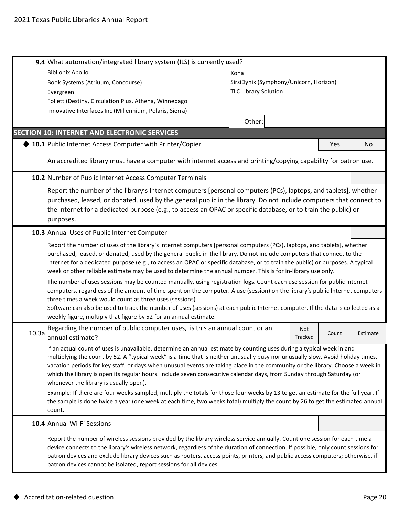|       | 9.4 What automation/integrated library system (ILS) is currently used?                                                                                                                                                                                                                                                                                                                                                                                                                                                                                         |                             |                                        |       |          |
|-------|----------------------------------------------------------------------------------------------------------------------------------------------------------------------------------------------------------------------------------------------------------------------------------------------------------------------------------------------------------------------------------------------------------------------------------------------------------------------------------------------------------------------------------------------------------------|-----------------------------|----------------------------------------|-------|----------|
|       | <b>Biblionix Apollo</b>                                                                                                                                                                                                                                                                                                                                                                                                                                                                                                                                        | Koha                        |                                        |       |          |
|       | Book Systems (Atriuum, Concourse)                                                                                                                                                                                                                                                                                                                                                                                                                                                                                                                              |                             | SirsiDynix (Symphony/Unicorn, Horizon) |       |          |
|       | Evergreen                                                                                                                                                                                                                                                                                                                                                                                                                                                                                                                                                      | <b>TLC Library Solution</b> |                                        |       |          |
|       | Follett (Destiny, Circulation Plus, Athena, Winnebago                                                                                                                                                                                                                                                                                                                                                                                                                                                                                                          |                             |                                        |       |          |
|       | Innovative Interfaces Inc (Millennium, Polaris, Sierra)                                                                                                                                                                                                                                                                                                                                                                                                                                                                                                        |                             |                                        |       |          |
|       |                                                                                                                                                                                                                                                                                                                                                                                                                                                                                                                                                                | Other:                      |                                        |       |          |
|       | <b>SECTION 10: INTERNET AND ELECTRONIC SERVICES</b>                                                                                                                                                                                                                                                                                                                                                                                                                                                                                                            |                             |                                        |       |          |
|       | 10.1 Public Internet Access Computer with Printer/Copier                                                                                                                                                                                                                                                                                                                                                                                                                                                                                                       |                             |                                        | Yes   | No       |
|       | An accredited library must have a computer with internet access and printing/copying capability for patron use.                                                                                                                                                                                                                                                                                                                                                                                                                                                |                             |                                        |       |          |
|       | 10.2 Number of Public Internet Access Computer Terminals                                                                                                                                                                                                                                                                                                                                                                                                                                                                                                       |                             |                                        |       |          |
|       | Report the number of the library's Internet computers [personal computers (PCs), laptops, and tablets], whether<br>purchased, leased, or donated, used by the general public in the library. Do not include computers that connect to<br>the Internet for a dedicated purpose (e.g., to access an OPAC or specific database, or to train the public) or<br>purposes.                                                                                                                                                                                           |                             |                                        |       |          |
|       | 10.3 Annual Uses of Public Internet Computer                                                                                                                                                                                                                                                                                                                                                                                                                                                                                                                   |                             |                                        |       |          |
|       | Report the number of uses of the library's Internet computers [personal computers (PCs), laptops, and tablets], whether<br>purchased, leased, or donated, used by the general public in the library. Do not include computers that connect to the<br>Internet for a dedicated purpose (e.g., to access an OPAC or specific database, or to train the public) or purposes. A typical<br>week or other reliable estimate may be used to determine the annual number. This is for in-library use only.                                                            |                             |                                        |       |          |
|       | The number of uses sessions may be counted manually, using registration logs. Count each use session for public internet<br>computers, regardless of the amount of time spent on the computer. A use (session) on the library's public Internet computers<br>three times a week would count as three uses (sessions).<br>Software can also be used to track the number of uses (sessions) at each public Internet computer. If the data is collected as a<br>weekly figure, multiply that figure by 52 for an annual estimate.                                 |                             |                                        |       |          |
| 10.3a | Regarding the number of public computer uses, is this an annual count or an<br>annual estimate?                                                                                                                                                                                                                                                                                                                                                                                                                                                                |                             | Not<br>Tracked                         | Count | Estimate |
|       | If an actual count of uses is unavailable, determine an annual estimate by counting uses during a typical week in and<br>multiplying the count by 52. A "typical week" is a time that is neither unusually busy nor unusually slow. Avoid holiday times,<br>vacation periods for key staff, or days when unusual events are taking place in the community or the library. Choose a week in<br>which the library is open its regular hours. Include seven consecutive calendar days, from Sunday through Saturday (or<br>whenever the library is usually open). |                             |                                        |       |          |
|       | Example: If there are four weeks sampled, multiply the totals for those four weeks by 13 to get an estimate for the full year. If<br>the sample is done twice a year (one week at each time, two weeks total) multiply the count by 26 to get the estimated annual<br>count.                                                                                                                                                                                                                                                                                   |                             |                                        |       |          |
|       | 10.4 Annual Wi-Fi Sessions                                                                                                                                                                                                                                                                                                                                                                                                                                                                                                                                     |                             |                                        |       |          |
|       | Report the number of wireless sessions provided by the library wireless service annually. Count one session for each time a<br>device connects to the library's wireless network, regardless of the duration of connection. If possible, only count sessions for<br>patron devices and exclude library devices such as routers, access points, printers, and public access computers; otherwise, if<br>patron devices cannot be isolated, report sessions for all devices.                                                                                     |                             |                                        |       |          |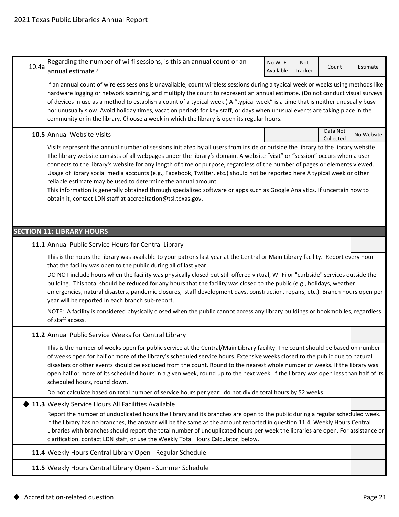| 10.4a                                                                                                                                                                                                                                                                                                                                                                                                                                                                                                                                                                                                                               | Regarding the number of wi-fi sessions, is this an annual count or an<br>annual estimate?                                                                                                                                                                                                                                                                                                                                                                                                                                                                                                                                                                                                                                                                                                      | No Wi-Fi<br>Available | Not<br>Tracked | Count                 | Estimate   |  |  |  |
|-------------------------------------------------------------------------------------------------------------------------------------------------------------------------------------------------------------------------------------------------------------------------------------------------------------------------------------------------------------------------------------------------------------------------------------------------------------------------------------------------------------------------------------------------------------------------------------------------------------------------------------|------------------------------------------------------------------------------------------------------------------------------------------------------------------------------------------------------------------------------------------------------------------------------------------------------------------------------------------------------------------------------------------------------------------------------------------------------------------------------------------------------------------------------------------------------------------------------------------------------------------------------------------------------------------------------------------------------------------------------------------------------------------------------------------------|-----------------------|----------------|-----------------------|------------|--|--|--|
| If an annual count of wireless sessions is unavailable, count wireless sessions during a typical week or weeks using methods like<br>hardware logging or network scanning, and multiply the count to represent an annual estimate. (Do not conduct visual surveys<br>of devices in use as a method to establish a count of a typical week.) A "typical week" is a time that is neither unusually busy<br>nor unusually slow. Avoid holiday times, vacation periods for key staff, or days when unusual events are taking place in the<br>community or in the library. Choose a week in which the library is open its regular hours. |                                                                                                                                                                                                                                                                                                                                                                                                                                                                                                                                                                                                                                                                                                                                                                                                |                       |                |                       |            |  |  |  |
|                                                                                                                                                                                                                                                                                                                                                                                                                                                                                                                                                                                                                                     | 10.5 Annual Website Visits                                                                                                                                                                                                                                                                                                                                                                                                                                                                                                                                                                                                                                                                                                                                                                     |                       |                | Data Not<br>Collected | No Website |  |  |  |
|                                                                                                                                                                                                                                                                                                                                                                                                                                                                                                                                                                                                                                     | Visits represent the annual number of sessions initiated by all users from inside or outside the library to the library website.<br>The library website consists of all webpages under the library's domain. A website "visit" or "session" occurs when a user<br>connects to the library's website for any length of time or purpose, regardless of the number of pages or elements viewed.<br>Usage of library social media accounts (e.g., Facebook, Twitter, etc.) should not be reported here A typical week or other<br>reliable estimate may be used to determine the annual amount.<br>This information is generally obtained through specialized software or apps such as Google Analytics. If uncertain how to<br>obtain it, contact LDN staff at accreditation@tsl.texas.gov.       |                       |                |                       |            |  |  |  |
|                                                                                                                                                                                                                                                                                                                                                                                                                                                                                                                                                                                                                                     | <b>SECTION 11: LIBRARY HOURS</b>                                                                                                                                                                                                                                                                                                                                                                                                                                                                                                                                                                                                                                                                                                                                                               |                       |                |                       |            |  |  |  |
|                                                                                                                                                                                                                                                                                                                                                                                                                                                                                                                                                                                                                                     | 11.1 Annual Public Service Hours for Central Library                                                                                                                                                                                                                                                                                                                                                                                                                                                                                                                                                                                                                                                                                                                                           |                       |                |                       |            |  |  |  |
|                                                                                                                                                                                                                                                                                                                                                                                                                                                                                                                                                                                                                                     | This is the hours the library was available to your patrons last year at the Central or Main Library facility. Report every hour<br>that the facility was open to the public during all of last year.<br>DO NOT include hours when the facility was physically closed but still offered virtual, WI-Fi or "curbside" services outside the<br>building. This total should be reduced for any hours that the facility was closed to the public (e.g., holidays, weather<br>emergencies, natural disasters, pandemic closures, staff development days, construction, repairs, etc.). Branch hours open per<br>year will be reported in each branch sub-report.<br>NOTE: A facility is considered physically closed when the public cannot access any library buildings or bookmobiles, regardless |                       |                |                       |            |  |  |  |
|                                                                                                                                                                                                                                                                                                                                                                                                                                                                                                                                                                                                                                     | of staff access.<br>11.2 Annual Public Service Weeks for Central Library                                                                                                                                                                                                                                                                                                                                                                                                                                                                                                                                                                                                                                                                                                                       |                       |                |                       |            |  |  |  |
|                                                                                                                                                                                                                                                                                                                                                                                                                                                                                                                                                                                                                                     | This is the number of weeks open for public service at the Central/Main Library facility. The count should be based on number<br>of weeks open for half or more of the library's scheduled service hours. Extensive weeks closed to the public due to natural<br>disasters or other events should be excluded from the count. Round to the nearest whole number of weeks. If the library was<br>open half or more of its scheduled hours in a given week, round up to the next week. If the library was open less than half of its<br>scheduled hours, round down.<br>Do not calculate based on total number of service hours per year: do not divide total hours by 52 weeks.                                                                                                                 |                       |                |                       |            |  |  |  |
|                                                                                                                                                                                                                                                                                                                                                                                                                                                                                                                                                                                                                                     | 11.3 Weekly Service Hours All Facilities Available                                                                                                                                                                                                                                                                                                                                                                                                                                                                                                                                                                                                                                                                                                                                             |                       |                |                       |            |  |  |  |
|                                                                                                                                                                                                                                                                                                                                                                                                                                                                                                                                                                                                                                     | Report the number of unduplicated hours the library and its branches are open to the public during a regular scheduled week.<br>If the library has no branches, the answer will be the same as the amount reported in question 11.4, Weekly Hours Central<br>Libraries with branches should report the total number of unduplicated hours per week the libraries are open. For assistance or<br>clarification, contact LDN staff, or use the Weekly Total Hours Calculator, below.                                                                                                                                                                                                                                                                                                             |                       |                |                       |            |  |  |  |
|                                                                                                                                                                                                                                                                                                                                                                                                                                                                                                                                                                                                                                     | 11.4 Weekly Hours Central Library Open - Regular Schedule                                                                                                                                                                                                                                                                                                                                                                                                                                                                                                                                                                                                                                                                                                                                      |                       |                |                       |            |  |  |  |
|                                                                                                                                                                                                                                                                                                                                                                                                                                                                                                                                                                                                                                     | 11.5 Weekly Hours Central Library Open - Summer Schedule                                                                                                                                                                                                                                                                                                                                                                                                                                                                                                                                                                                                                                                                                                                                       |                       |                |                       |            |  |  |  |
|                                                                                                                                                                                                                                                                                                                                                                                                                                                                                                                                                                                                                                     |                                                                                                                                                                                                                                                                                                                                                                                                                                                                                                                                                                                                                                                                                                                                                                                                |                       |                |                       |            |  |  |  |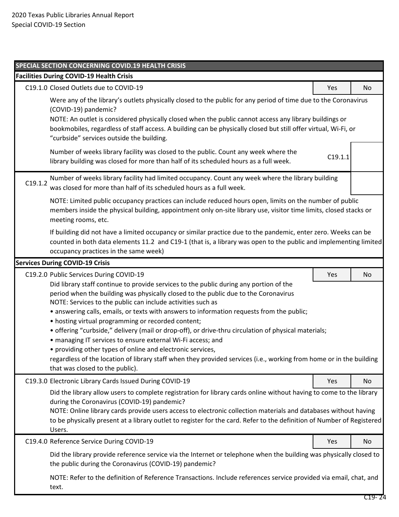|                                                                                                                                                                                                                                                                             | SPECIAL SECTION CONCERNING COVID.19 HEALTH CRISIS                                                                                                                                                                                                                                                                                                                                                                                                                                                                                                                                                                                                                                                                                                                                                                                         |            |    |  |
|-----------------------------------------------------------------------------------------------------------------------------------------------------------------------------------------------------------------------------------------------------------------------------|-------------------------------------------------------------------------------------------------------------------------------------------------------------------------------------------------------------------------------------------------------------------------------------------------------------------------------------------------------------------------------------------------------------------------------------------------------------------------------------------------------------------------------------------------------------------------------------------------------------------------------------------------------------------------------------------------------------------------------------------------------------------------------------------------------------------------------------------|------------|----|--|
|                                                                                                                                                                                                                                                                             | <b>Facilities During COVID-19 Health Crisis</b>                                                                                                                                                                                                                                                                                                                                                                                                                                                                                                                                                                                                                                                                                                                                                                                           |            |    |  |
|                                                                                                                                                                                                                                                                             | C19.1.0 Closed Outlets due to COVID-19                                                                                                                                                                                                                                                                                                                                                                                                                                                                                                                                                                                                                                                                                                                                                                                                    | Yes        | No |  |
|                                                                                                                                                                                                                                                                             | Were any of the library's outlets physically closed to the public for any period of time due to the Coronavirus<br>(COVID-19) pandemic?<br>NOTE: An outlet is considered physically closed when the public cannot access any library buildings or<br>bookmobiles, regardless of staff access. A building can be physically closed but still offer virtual, Wi-Fi, or<br>"curbside" services outside the building.                                                                                                                                                                                                                                                                                                                                                                                                                         |            |    |  |
|                                                                                                                                                                                                                                                                             | Number of weeks library facility was closed to the public. Count any week where the<br>library building was closed for more than half of its scheduled hours as a full week.                                                                                                                                                                                                                                                                                                                                                                                                                                                                                                                                                                                                                                                              | C19.1.1    |    |  |
| C19.1.2                                                                                                                                                                                                                                                                     | Number of weeks library facility had limited occupancy. Count any week where the library building<br>was closed for more than half of its scheduled hours as a full week.                                                                                                                                                                                                                                                                                                                                                                                                                                                                                                                                                                                                                                                                 |            |    |  |
|                                                                                                                                                                                                                                                                             | NOTE: Limited public occupancy practices can include reduced hours open, limits on the number of public<br>members inside the physical building, appointment only on-site library use, visitor time limits, closed stacks or<br>meeting rooms, etc.                                                                                                                                                                                                                                                                                                                                                                                                                                                                                                                                                                                       |            |    |  |
| If building did not have a limited occupancy or similar practice due to the pandemic, enter zero. Weeks can be<br>counted in both data elements 11.2 and C19-1 (that is, a library was open to the public and implementing limited<br>occupancy practices in the same week) |                                                                                                                                                                                                                                                                                                                                                                                                                                                                                                                                                                                                                                                                                                                                                                                                                                           |            |    |  |
|                                                                                                                                                                                                                                                                             | <b>Services During COVID-19 Crisis</b>                                                                                                                                                                                                                                                                                                                                                                                                                                                                                                                                                                                                                                                                                                                                                                                                    |            |    |  |
|                                                                                                                                                                                                                                                                             | C19.2.0 Public Services During COVID-19<br>Did library staff continue to provide services to the public during any portion of the<br>period when the building was physically closed to the public due to the Coronavirus<br>NOTE: Services to the public can include activities such as<br>• answering calls, emails, or texts with answers to information requests from the public;<br>• hosting virtual programming or recorded content;<br>• offering "curbside," delivery (mail or drop-off), or drive-thru circulation of physical materials;<br>· managing IT services to ensure external Wi-Fi access; and<br>• providing other types of online and electronic services,<br>regardless of the location of library staff when they provided services (i.e., working from home or in the building<br>that was closed to the public). | Yes        | No |  |
|                                                                                                                                                                                                                                                                             | C19.3.0 Electronic Library Cards Issued During COVID-19                                                                                                                                                                                                                                                                                                                                                                                                                                                                                                                                                                                                                                                                                                                                                                                   | <b>Yes</b> | No |  |
|                                                                                                                                                                                                                                                                             | Did the library allow users to complete registration for library cards online without having to come to the library<br>during the Coronavirus (COVID-19) pandemic?<br>NOTE: Online library cards provide users access to electronic collection materials and databases without having<br>to be physically present at a library outlet to register for the card. Refer to the definition of Number of Registered<br>Users.                                                                                                                                                                                                                                                                                                                                                                                                                 |            |    |  |
|                                                                                                                                                                                                                                                                             | C19.4.0 Reference Service During COVID-19                                                                                                                                                                                                                                                                                                                                                                                                                                                                                                                                                                                                                                                                                                                                                                                                 | Yes        | No |  |
|                                                                                                                                                                                                                                                                             | Did the library provide reference service via the Internet or telephone when the building was physically closed to<br>the public during the Coronavirus (COVID-19) pandemic?                                                                                                                                                                                                                                                                                                                                                                                                                                                                                                                                                                                                                                                              |            |    |  |
|                                                                                                                                                                                                                                                                             | NOTE: Refer to the definition of Reference Transactions. Include references service provided via email, chat, and<br>text.                                                                                                                                                                                                                                                                                                                                                                                                                                                                                                                                                                                                                                                                                                                |            |    |  |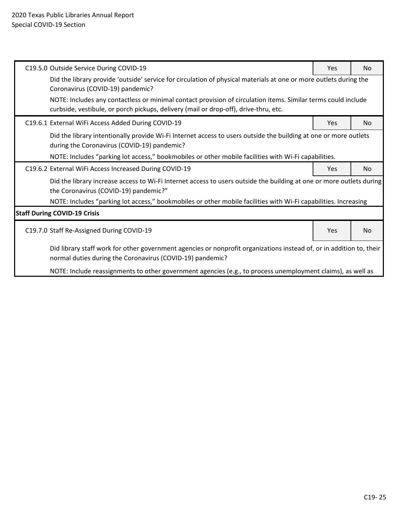| C19.5.0 Outside Service During COVID-19                                                                                                                                           | Yes                                                                                                           | <b>No</b>      |  |  |  |  |  |
|-----------------------------------------------------------------------------------------------------------------------------------------------------------------------------------|---------------------------------------------------------------------------------------------------------------|----------------|--|--|--|--|--|
| Did the library provide 'outside' service for circulation of physical materials at one or more outlets during the<br>Coronavirus (COVID-19) pandemic?                             |                                                                                                               |                |  |  |  |  |  |
| curbside, vestibule, or porch pickups, delivery (mail or drop-off), drive-thru, etc.                                                                                              | NOTE: Includes any contactless or minimal contact provision of circulation items. Similar terms could include |                |  |  |  |  |  |
| C19.6.1 External WiFi Access Added During COVID-19                                                                                                                                | Yes                                                                                                           | N <sub>o</sub> |  |  |  |  |  |
| Did the library intentionally provide Wi-Fi Internet access to users outside the building at one or more outlets<br>during the Coronavirus (COVID-19) pandemic?                   |                                                                                                               |                |  |  |  |  |  |
| NOTE: Includes "parking lot access," bookmobiles or other mobile facilities with Wi-Fi capabilities.                                                                              |                                                                                                               |                |  |  |  |  |  |
| C19.6.2 External WiFi Access Increased During COVID-19                                                                                                                            | Yes                                                                                                           | N <sub>o</sub> |  |  |  |  |  |
| Did the library increase access to Wi-Fi Internet access to users outside the building at one or more outlets during<br>the Coronavirus (COVID-19) pandemic?"                     |                                                                                                               |                |  |  |  |  |  |
| NOTE: Includes "parking lot access," bookmobiles or other mobile facilities with Wi-Fi capabilities. Increasing                                                                   |                                                                                                               |                |  |  |  |  |  |
| <b>Staff During COVID-19 Crisis</b>                                                                                                                                               |                                                                                                               |                |  |  |  |  |  |
| C19.7.0 Staff Re-Assigned During COVID-19                                                                                                                                         | Yes                                                                                                           | N <sub>o</sub> |  |  |  |  |  |
| Did library staff work for other government agencies or nonprofit organizations instead of, or in addition to, their<br>normal duties during the Coronavirus (COVID-19) pandemic? |                                                                                                               |                |  |  |  |  |  |
| NOTE: Include reassignments to other government agencies (e.g., to process unemployment claims), as well as                                                                       |                                                                                                               |                |  |  |  |  |  |
|                                                                                                                                                                                   |                                                                                                               |                |  |  |  |  |  |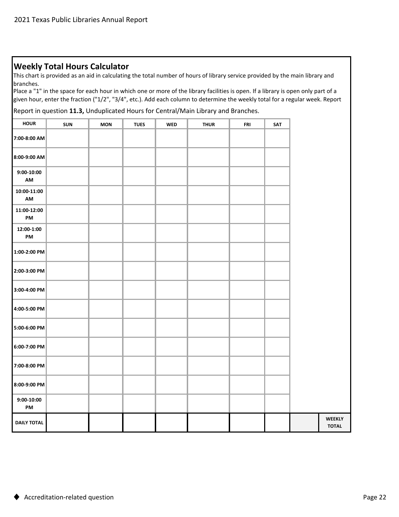## **Weekly Total Hours Calculator**

This chart is provided as an aid in calculating the total number of hours of library service provided by the main library and branches.

Place a "1" in the space for each hour in which one or more of the library facilities is open. If a library is open only part of a given hour, enter the fraction ("1/2", "3/4", etc.). Add each column to determine the weekly total for a regular week. Report

Report in question **11.3,** Unduplicated Hours for Central/Main Library and Branches.

| <b>HOUR</b>         | SUN | <b>MON</b> | <b>TUES</b> | <b>WED</b> | <b>THUR</b> | FRI | SAT |  |
|---------------------|-----|------------|-------------|------------|-------------|-----|-----|--|
| 7:00-8:00 AM        |     |            |             |            |             |     |     |  |
| 8:00-9:00 AM        |     |            |             |            |             |     |     |  |
| $9:00-10:00$<br>AM  |     |            |             |            |             |     |     |  |
| $10:00-11:00$<br>AM |     |            |             |            |             |     |     |  |
| 11:00-12:00<br>PM   |     |            |             |            |             |     |     |  |
| 12:00-1:00<br>PM    |     |            |             |            |             |     |     |  |
| 1:00-2:00 PM        |     |            |             |            |             |     |     |  |
| 2:00-3:00 PM        |     |            |             |            |             |     |     |  |
| 3:00-4:00 PM        |     |            |             |            |             |     |     |  |
| 4:00-5:00 PM        |     |            |             |            |             |     |     |  |
| 5:00-6:00 PM        |     |            |             |            |             |     |     |  |
| 6:00-7:00 PM        |     |            |             |            |             |     |     |  |
| 7:00-8:00 PM        |     |            |             |            |             |     |     |  |
| 8:00-9:00 PM        |     |            |             |            |             |     |     |  |
| $9:00-10:00$<br>PM  |     |            |             |            |             |     |     |  |
| <b>DAILY TOTAL</b>  |     |            |             |            |             |     |     |  |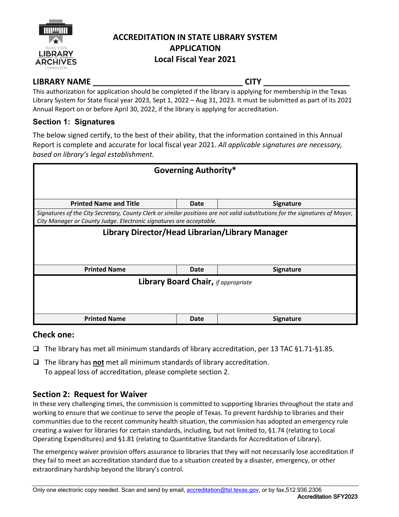

## **ACCREDITATION IN STATE LIBRARY SYSTEM APPLICATION Local Fiscal Year 2021**

## **LIBRARY NAME \_\_\_\_\_\_\_\_\_\_\_\_\_\_\_\_\_\_\_\_\_\_\_\_\_\_\_\_\_\_\_\_\_ CITY \_\_\_\_\_\_\_\_\_\_\_\_\_\_\_\_\_\_\_**

This authorization for application should be completed if the library is applying for membership in the Texas Library System for State fiscal year 2023, Sept 1, 2022 – Aug 31, 2023. It must be submitted as part of its 2021 Annual Report on or before April 30, 2022, if the library is applying for accreditation.

## **Section 1: Signatures**

The below signed certify, to the best of their ability, that the information contained in this Annual Report is complete and accurate for local fiscal year 2021. *All applicable signatures are necessary, based on library's legal establishment.*

| <b>Governing Authority*</b>                                                                                                                                                                         |                                            |                  |  |  |  |
|-----------------------------------------------------------------------------------------------------------------------------------------------------------------------------------------------------|--------------------------------------------|------------------|--|--|--|
|                                                                                                                                                                                                     |                                            |                  |  |  |  |
| <b>Printed Name and Title</b>                                                                                                                                                                       | Date                                       | <b>Signature</b> |  |  |  |
| Signatures of the City Secretary, County Clerk or similar positions are not valid substitutions for the signatures of Mayor,<br>City Manager or County Judge. Electronic signatures are acceptable. |                                            |                  |  |  |  |
| Library Director/Head Librarian/Library Manager                                                                                                                                                     |                                            |                  |  |  |  |
|                                                                                                                                                                                                     |                                            |                  |  |  |  |
|                                                                                                                                                                                                     |                                            |                  |  |  |  |
| <b>Printed Name</b>                                                                                                                                                                                 | Date                                       | <b>Signature</b> |  |  |  |
|                                                                                                                                                                                                     | <b>Library Board Chair, if appropriate</b> |                  |  |  |  |
|                                                                                                                                                                                                     |                                            |                  |  |  |  |
|                                                                                                                                                                                                     |                                            |                  |  |  |  |
| <b>Printed Name</b>                                                                                                                                                                                 | Date                                       | <b>Signature</b> |  |  |  |

## **Check one:**

- The library has met all minimum standards of library accreditation, per 13 TAC §1.71-§1.85*.*
- The library has **not** met all minimum standards of library accreditation. To appeal loss of accreditation, please complete section 2.

# **Section 2: Request for Waiver**

In these very challenging times, the commission is committed to supporting libraries throughout the state and working to ensure that we continue to serve the people of Texas. To prevent hardship to libraries and their communities due to the recent community health situation, the commission has adopted an emergency rule creating a waiver for libraries for certain standards, including, but not limited to, §1.74 (relating to Local Operating Expenditures) and §1.81 (relating to Quantitative Standards for Accreditation of Library).

The emergency waiver provision offers assurance to libraries that they will not necessarily lose accreditation if they fail to meet an accreditation standard due to a situation created by a disaster, emergency, or other extraordinary hardship beyond the library's control.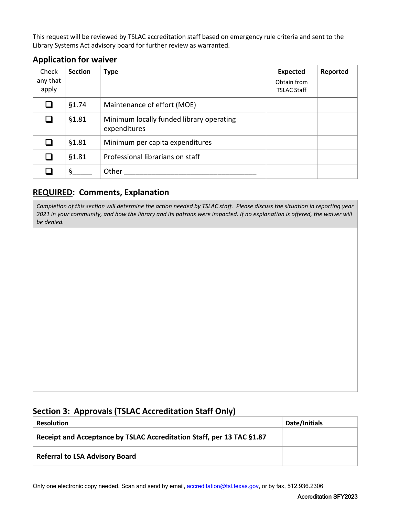This request will be reviewed by TSLAC accreditation staff based on emergency rule criteria and sent to the Library Systems Act advisory board for further review as warranted.

| Check<br>any that<br>apply | <b>Section</b> | <b>Type</b>                                              | <b>Expected</b><br>Obtain from<br><b>TSLAC Staff</b> | Reported |
|----------------------------|----------------|----------------------------------------------------------|------------------------------------------------------|----------|
| ப                          | §1.74          | Maintenance of effort (MOE)                              |                                                      |          |
| ப                          | §1.81          | Minimum locally funded library operating<br>expenditures |                                                      |          |
| ப                          | §1.81          | Minimum per capita expenditures                          |                                                      |          |
|                            | §1.81          | Professional librarians on staff                         |                                                      |          |
|                            | ş              | Other                                                    |                                                      |          |

# **Application for waiver**

## **REQUIRED: Comments, Explanation**

*Completion of this section will determine the action needed by TSLAC staff. Please discuss the situation in reporting year 2021 in your community, and how the library and its patrons were impacted. If no explanation is offered, the waiver will be denied.*

## **Section 3: Approvals (TSLAC Accreditation Staff Only)**

| <b>Resolution</b>                                                     | Date/Initials |
|-----------------------------------------------------------------------|---------------|
| Receipt and Acceptance by TSLAC Accreditation Staff, per 13 TAC §1.87 |               |
| <b>Referral to LSA Advisory Board</b>                                 |               |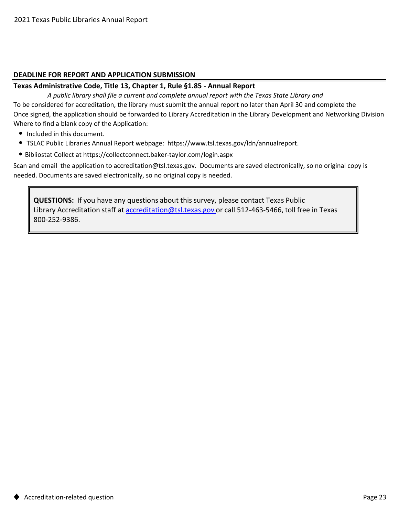## **DEADLINE FOR REPORT AND APPLICATION SUBMISSION**

## **Texas Administrative Code, Title 13, Chapter 1, Rule §1.85 - Annual Report**

Where to find a blank copy of the Application: Once signed, the application should be forwarded to Library Accreditation in the Library Development and Networking Division To be considered for accreditation, the library must submit the annual report no later than April 30 and complete the *A public library shall file a current and complete annual report with the Texas State Library and* 

- Included in this document.
- TSLAC Public Libraries Annual Report webpage: https://www.tsl.texas.gov/ldn/annualreport.
- Bibliostat Collect at https://collectconnect.baker-taylor.com/login.aspx

Scan and email the application to accreditation@tsl.texas.gov. Documents are saved electronically, so no original copy is needed. Documents are saved electronically, so no original copy is needed.

**QUESTIONS:** If you have any questions about this survey, please contact Texas Public Library Accreditation staff at accreditation@tsl.texas.gov or call 512-463-5466, toll free in Texas 800-252-9386.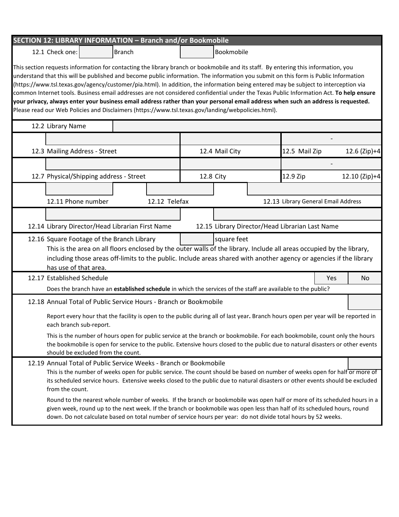| SECTION 12: LIBRARY INFORMATION - Branch and/or Bookmobile                                                                                                                                                                                                                                                                                                                                                                                                                                                                                                                                                                                                                                                                                                                                            |               |           |                |                                                 |     |               |
|-------------------------------------------------------------------------------------------------------------------------------------------------------------------------------------------------------------------------------------------------------------------------------------------------------------------------------------------------------------------------------------------------------------------------------------------------------------------------------------------------------------------------------------------------------------------------------------------------------------------------------------------------------------------------------------------------------------------------------------------------------------------------------------------------------|---------------|-----------|----------------|-------------------------------------------------|-----|---------------|
| 12.1 Check one:                                                                                                                                                                                                                                                                                                                                                                                                                                                                                                                                                                                                                                                                                                                                                                                       | <b>Branch</b> |           | Bookmobile     |                                                 |     |               |
| This section requests information for contacting the library branch or bookmobile and its staff. By entering this information, you<br>understand that this will be published and become public information. The information you submit on this form is Public Information<br>(https://www.tsl.texas.gov/agency/customer/pia.html). In addition, the information being entered may be subject to interception via<br>common Internet tools. Business email addresses are not considered confidential under the Texas Public Information Act. To help ensure<br>your privacy, always enter your business email address rather than your personal email address when such an address is requested.<br>Please read our Web Policies and Disclaimers (https://www.tsl.texas.gov/landing/webpolicies.html). |               |           |                |                                                 |     |               |
| 12.2 Library Name                                                                                                                                                                                                                                                                                                                                                                                                                                                                                                                                                                                                                                                                                                                                                                                     |               |           |                |                                                 |     |               |
| 12.3 Mailing Address - Street                                                                                                                                                                                                                                                                                                                                                                                                                                                                                                                                                                                                                                                                                                                                                                         |               |           | 12.4 Mail City | 12.5 Mail Zip                                   |     | 12.6 (Zip)+4  |
| 12.7 Physical/Shipping address - Street                                                                                                                                                                                                                                                                                                                                                                                                                                                                                                                                                                                                                                                                                                                                                               |               | 12.8 City |                | 12.9 Zip                                        |     | 12.10 (Zip)+4 |
|                                                                                                                                                                                                                                                                                                                                                                                                                                                                                                                                                                                                                                                                                                                                                                                                       |               |           |                |                                                 |     |               |
| 12.11 Phone number                                                                                                                                                                                                                                                                                                                                                                                                                                                                                                                                                                                                                                                                                                                                                                                    | 12.12 Telefax |           |                | 12.13 Library General Email Address             |     |               |
|                                                                                                                                                                                                                                                                                                                                                                                                                                                                                                                                                                                                                                                                                                                                                                                                       |               |           |                |                                                 |     |               |
| 12.14 Library Director/Head Librarian First Name                                                                                                                                                                                                                                                                                                                                                                                                                                                                                                                                                                                                                                                                                                                                                      |               |           |                | 12.15 Library Director/Head Librarian Last Name |     |               |
| 12.16 Square Footage of the Branch Library<br>This is the area on all floors enclosed by the outer walls of the library. Include all areas occupied by the library,<br>including those areas off-limits to the public. Include areas shared with another agency or agencies if the library<br>has use of that area.                                                                                                                                                                                                                                                                                                                                                                                                                                                                                   |               |           | square feet    |                                                 |     |               |
| 12.17 Established Schedule                                                                                                                                                                                                                                                                                                                                                                                                                                                                                                                                                                                                                                                                                                                                                                            |               |           |                |                                                 | Yes | No            |
| Does the branch have an established schedule in which the services of the staff are available to the public?                                                                                                                                                                                                                                                                                                                                                                                                                                                                                                                                                                                                                                                                                          |               |           |                |                                                 |     |               |
| 12.18 Annual Total of Public Service Hours - Branch or Bookmobile                                                                                                                                                                                                                                                                                                                                                                                                                                                                                                                                                                                                                                                                                                                                     |               |           |                |                                                 |     |               |
| Report every hour that the facility is open to the public during all of last year. Branch hours open per year will be reported in<br>each branch sub-report.                                                                                                                                                                                                                                                                                                                                                                                                                                                                                                                                                                                                                                          |               |           |                |                                                 |     |               |
| This is the number of hours open for public service at the branch or bookmobile. For each bookmobile, count only the hours<br>the bookmobile is open for service to the public. Extensive hours closed to the public due to natural disasters or other events<br>should be excluded from the count.                                                                                                                                                                                                                                                                                                                                                                                                                                                                                                   |               |           |                |                                                 |     |               |
| 12.19 Annual Total of Public Service Weeks - Branch or Bookmobile<br>This is the number of weeks open for public service. The count should be based on number of weeks open for half or more of<br>its scheduled service hours. Extensive weeks closed to the public due to natural disasters or other events should be excluded<br>from the count.                                                                                                                                                                                                                                                                                                                                                                                                                                                   |               |           |                |                                                 |     |               |
| Round to the nearest whole number of weeks. If the branch or bookmobile was open half or more of its scheduled hours in a<br>given week, round up to the next week. If the branch or bookmobile was open less than half of its scheduled hours, round<br>down. Do not calculate based on total number of service hours per year: do not divide total hours by 52 weeks.                                                                                                                                                                                                                                                                                                                                                                                                                               |               |           |                |                                                 |     |               |